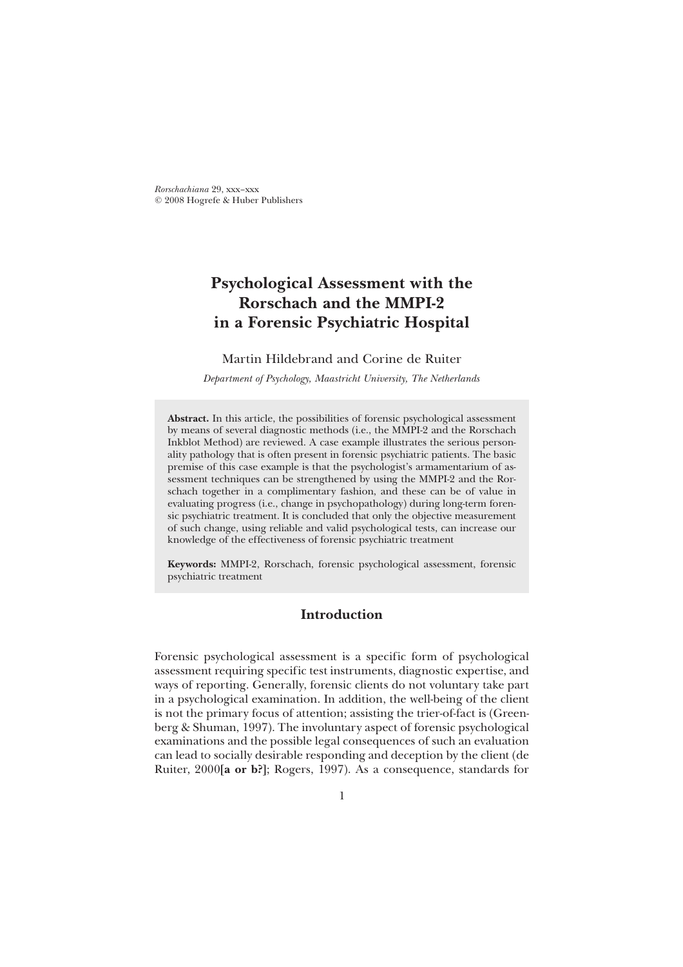© 2008 Hogrefe & Huber Publishers *Rorschachiana* 29, xxx–xxx

# **Psychological Assessment with the Rorschach and the MMPI-2 in a Forensic Psychiatric Hospital**

# Martin Hildebrand and Corine de Ruiter

*Department of Psychology, Maastricht University, The Netherlands*

**Abstract.** In this article, the possibilities of forensic psychological assessment by means of several diagnostic methods (i.e., the MMPI-2 and the Rorschach Inkblot Method) are reviewed. A case example illustrates the serious personality pathology that is often present in forensic psychiatric patients. The basic premise of this case example is that the psychologist's armamentarium of assessment techniques can be strengthened by using the MMPI-2 and the Rorschach together in a complimentary fashion, and these can be of value in evaluating progress (i.e., change in psychopathology) during long-term forensic psychiatric treatment. It is concluded that only the objective measurement of such change, using reliable and valid psychological tests, can increase our knowledge of the effectiveness of forensic psychiatric treatment

**Keywords:** MMPI-2, Rorschach, forensic psychological assessment, forensic psychiatric treatment

# **Introduction**

Forensic psychological assessment is a specific form of psychological assessment requiring specific test instruments, diagnostic expertise, and ways of reporting. Generally, forensic clients do not voluntary take part in a psychological examination. In addition, the well-being of the client is not the primary focus of attention; assisting the trier-of-fact is (Greenberg & Shuman, 1997). The involuntary aspect of forensic psychological examinations and the possible legal consequences of such an evaluation can lead to socially desirable responding and deception by the client (de Ruiter, 2000**[a or b?]**; Rogers, 1997). As a consequence, standards for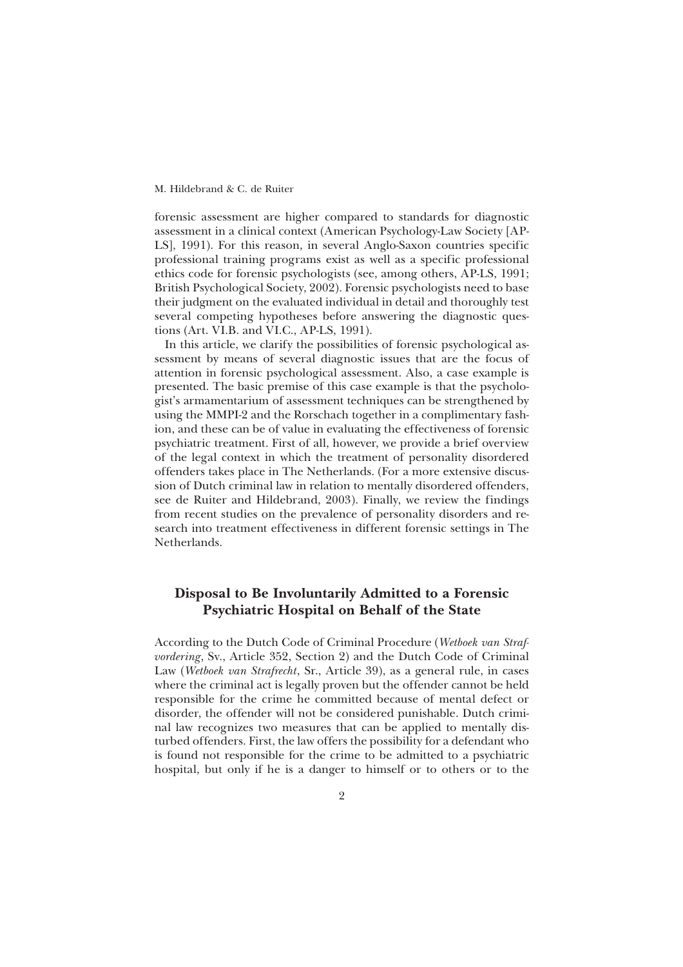forensic assessment are higher compared to standards for diagnostic assessment in a clinical context (American Psychology-Law Society [AP-LS], 1991). For this reason, in several Anglo-Saxon countries specific professional training programs exist as well as a specific professional ethics code for forensic psychologists (see, among others, AP-LS, 1991; British Psychological Society, 2002). Forensic psychologists need to base their judgment on the evaluated individual in detail and thoroughly test several competing hypotheses before answering the diagnostic questions (Art. VI.B. and VI.C., AP-LS, 1991).

In this article, we clarify the possibilities of forensic psychological assessment by means of several diagnostic issues that are the focus of attention in forensic psychological assessment. Also, a case example is presented. The basic premise of this case example is that the psychologist's armamentarium of assessment techniques can be strengthened by using the MMPI-2 and the Rorschach together in a complimentary fashion, and these can be of value in evaluating the effectiveness of forensic psychiatric treatment. First of all, however, we provide a brief overview of the legal context in which the treatment of personality disordered offenders takes place in The Netherlands. (For a more extensive discussion of Dutch criminal law in relation to mentally disordered offenders, see de Ruiter and Hildebrand, 2003). Finally, we review the findings from recent studies on the prevalence of personality disorders and research into treatment effectiveness in different forensic settings in The Netherlands.

# **Disposal to Be Involuntarily Admitted to a Forensic Psychiatric Hospital on Behalf of the State**

According to the Dutch Code of Criminal Procedure (*Wetboek van Strafvordering*, Sv., Article 352, Section 2) and the Dutch Code of Criminal Law (*Wetboek van Strafrecht*, Sr., Article 39), as a general rule, in cases where the criminal act is legally proven but the offender cannot be held responsible for the crime he committed because of mental defect or disorder, the offender will not be considered punishable. Dutch criminal law recognizes two measures that can be applied to mentally disturbed offenders. First, the law offers the possibility for a defendant who is found not responsible for the crime to be admitted to a psychiatric hospital, but only if he is a danger to himself or to others or to the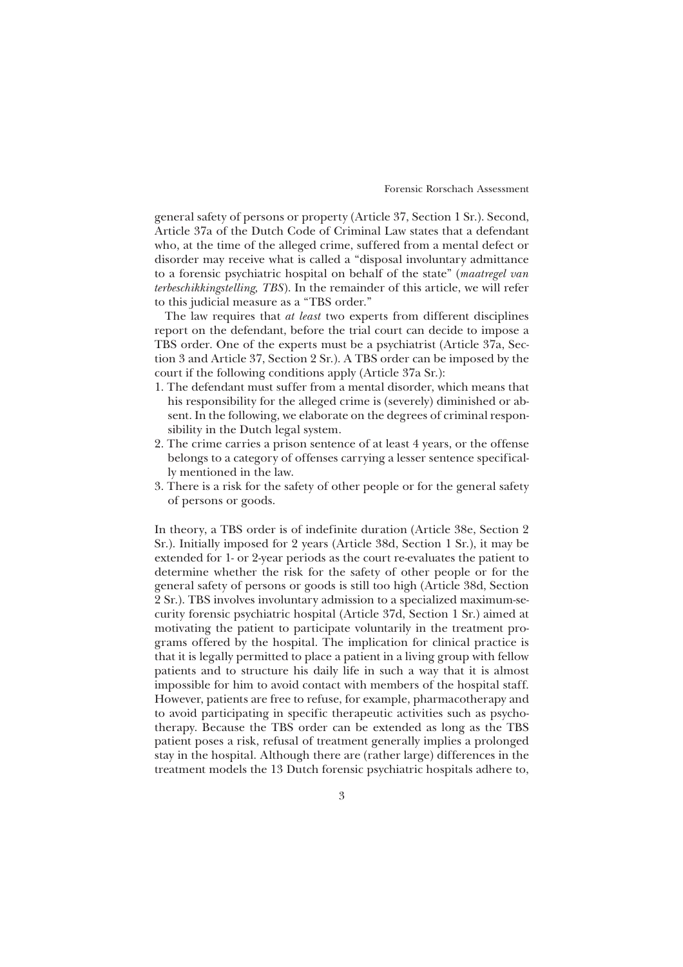general safety of persons or property (Article 37, Section 1 Sr.). Second, Article 37a of the Dutch Code of Criminal Law states that a defendant who, at the time of the alleged crime, suffered from a mental defect or disorder may receive what is called a "disposal involuntary admittance to a forensic psychiatric hospital on behalf of the state" (*maatregel van terbeschikkingstelling, TBS*). In the remainder of this article, we will refer to this judicial measure as a "TBS order."

The law requires that *at least* two experts from different disciplines report on the defendant, before the trial court can decide to impose a TBS order. One of the experts must be a psychiatrist (Article 37a, Section 3 and Article 37, Section 2 Sr.). A TBS order can be imposed by the court if the following conditions apply (Article 37a Sr.):

- 1. The defendant must suffer from a mental disorder, which means that his responsibility for the alleged crime is (severely) diminished or absent. In the following, we elaborate on the degrees of criminal responsibility in the Dutch legal system.
- 2. The crime carries a prison sentence of at least 4 years, or the offense belongs to a category of offenses carrying a lesser sentence specifically mentioned in the law.
- 3. There is a risk for the safety of other people or for the general safety of persons or goods.

In theory, a TBS order is of indefinite duration (Article 38e, Section 2 Sr.). Initially imposed for 2 years (Article 38d, Section 1 Sr.), it may be extended for 1- or 2-year periods as the court re-evaluates the patient to determine whether the risk for the safety of other people or for the general safety of persons or goods is still too high (Article 38d, Section 2 Sr.). TBS involves involuntary admission to a specialized maximum-security forensic psychiatric hospital (Article 37d, Section 1 Sr.) aimed at motivating the patient to participate voluntarily in the treatment programs offered by the hospital. The implication for clinical practice is that it is legally permitted to place a patient in a living group with fellow patients and to structure his daily life in such a way that it is almost impossible for him to avoid contact with members of the hospital staff. However, patients are free to refuse, for example, pharmacotherapy and to avoid participating in specific therapeutic activities such as psychotherapy. Because the TBS order can be extended as long as the TBS patient poses a risk, refusal of treatment generally implies a prolonged stay in the hospital. Although there are (rather large) differences in the treatment models the 13 Dutch forensic psychiatric hospitals adhere to,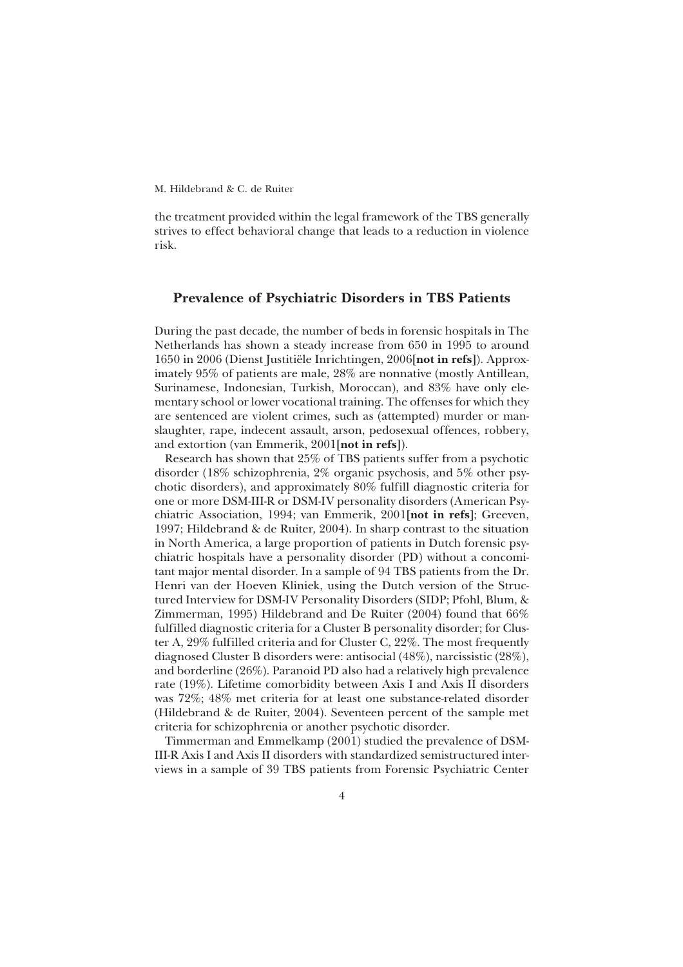the treatment provided within the legal framework of the TBS generally strives to effect behavioral change that leads to a reduction in violence risk.

# **Prevalence of Psychiatric Disorders in TBS Patients**

During the past decade, the number of beds in forensic hospitals in The Netherlands has shown a steady increase from 650 in 1995 to around 1650 in 2006 (Dienst Justitiële Inrichtingen, 2006**[not in refs]**). Approximately 95% of patients are male, 28% are nonnative (mostly Antillean, Surinamese, Indonesian, Turkish, Moroccan), and 83% have only elementary school or lower vocational training. The offenses for which they are sentenced are violent crimes, such as (attempted) murder or manslaughter, rape, indecent assault, arson, pedosexual offences, robbery, and extortion (van Emmerik, 2001**[not in refs]**).

Research has shown that 25% of TBS patients suffer from a psychotic disorder (18% schizophrenia, 2% organic psychosis, and 5% other psychotic disorders), and approximately 80% fulfill diagnostic criteria for one or more DSM-III-R or DSM-IV personality disorders (American Psychiatric Association, 1994; van Emmerik, 2001**[not in refs]**; Greeven, 1997; Hildebrand & de Ruiter, 2004). In sharp contrast to the situation in North America, a large proportion of patients in Dutch forensic psychiatric hospitals have a personality disorder (PD) without a concomitant major mental disorder. In a sample of 94 TBS patients from the Dr. Henri van der Hoeven Kliniek, using the Dutch version of the Structured Interview for DSM-IV Personality Disorders (SIDP; Pfohl, Blum, & Zimmerman, 1995) Hildebrand and De Ruiter (2004) found that 66% fulfilled diagnostic criteria for a Cluster B personality disorder; for Cluster A, 29% fulfilled criteria and for Cluster C, 22%. The most frequently diagnosed Cluster B disorders were: antisocial (48%), narcissistic (28%), and borderline (26%). Paranoid PD also had a relatively high prevalence rate (19%). Lifetime comorbidity between Axis I and Axis II disorders was 72%; 48% met criteria for at least one substance-related disorder (Hildebrand & de Ruiter, 2004). Seventeen percent of the sample met criteria for schizophrenia or another psychotic disorder.

Timmerman and Emmelkamp (2001) studied the prevalence of DSM-III-R Axis I and Axis II disorders with standardized semistructured interviews in a sample of 39 TBS patients from Forensic Psychiatric Center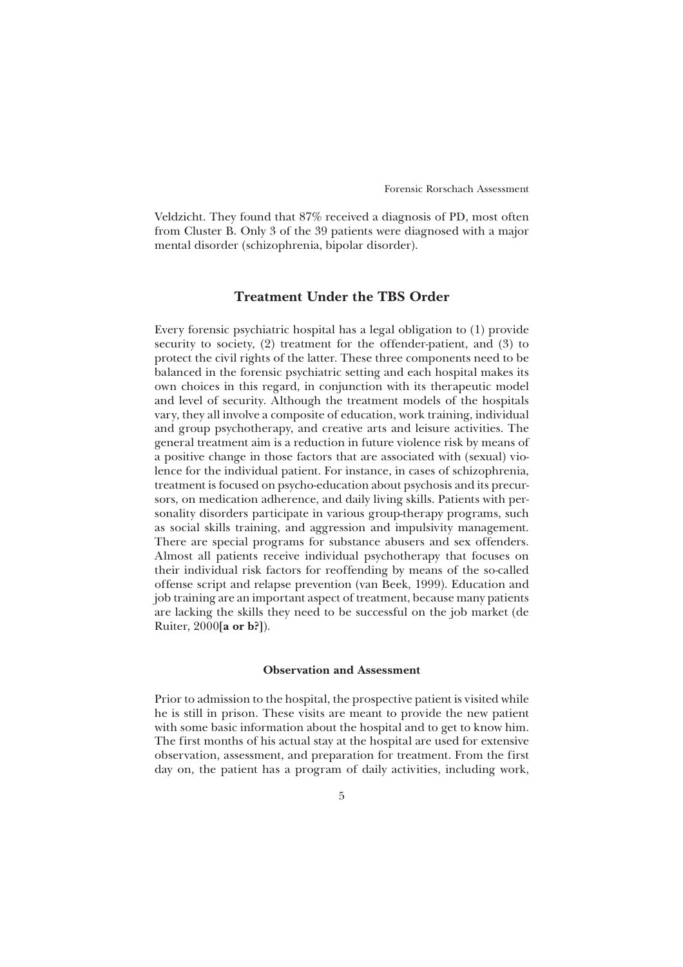Veldzicht. They found that 87% received a diagnosis of PD, most often from Cluster B. Only 3 of the 39 patients were diagnosed with a major mental disorder (schizophrenia, bipolar disorder).

# **Treatment Under the TBS Order**

Every forensic psychiatric hospital has a legal obligation to (1) provide security to society, (2) treatment for the offender-patient, and (3) to protect the civil rights of the latter. These three components need to be balanced in the forensic psychiatric setting and each hospital makes its own choices in this regard, in conjunction with its therapeutic model and level of security. Although the treatment models of the hospitals vary, they all involve a composite of education, work training, individual and group psychotherapy, and creative arts and leisure activities. The general treatment aim is a reduction in future violence risk by means of a positive change in those factors that are associated with (sexual) violence for the individual patient. For instance, in cases of schizophrenia, treatment is focused on psycho-education about psychosis and its precursors, on medication adherence, and daily living skills. Patients with personality disorders participate in various group-therapy programs, such as social skills training, and aggression and impulsivity management. There are special programs for substance abusers and sex offenders. Almost all patients receive individual psychotherapy that focuses on their individual risk factors for reoffending by means of the so-called offense script and relapse prevention (van Beek, 1999). Education and job training are an important aspect of treatment, because many patients are lacking the skills they need to be successful on the job market (de Ruiter, 2000**[a or b?]**).

## **Observation and Assessment**

Prior to admission to the hospital, the prospective patient is visited while he is still in prison. These visits are meant to provide the new patient with some basic information about the hospital and to get to know him. The first months of his actual stay at the hospital are used for extensive observation, assessment, and preparation for treatment. From the first day on, the patient has a program of daily activities, including work,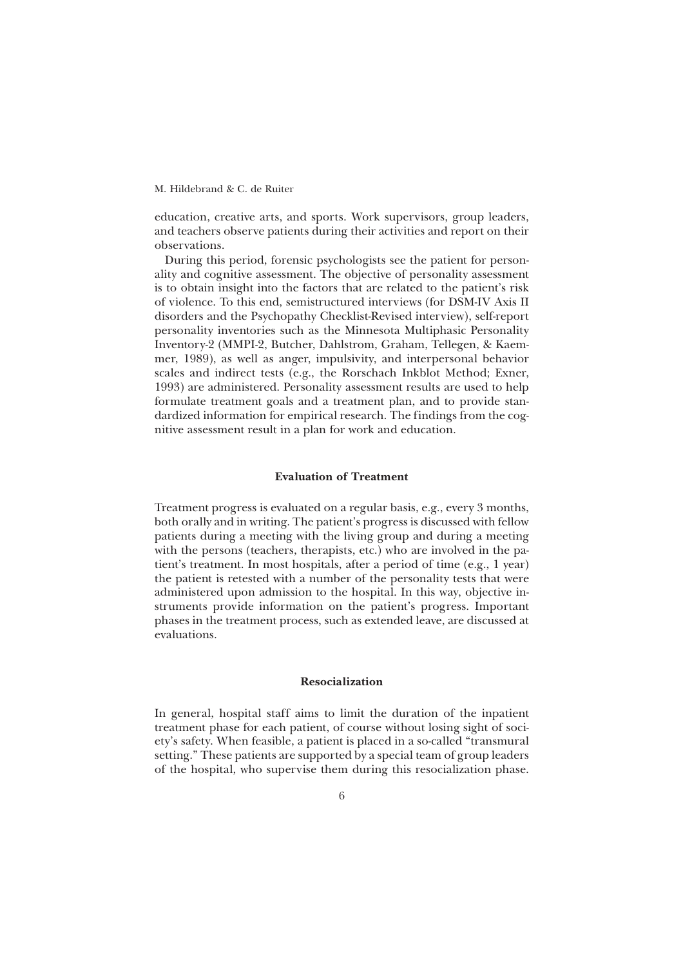education, creative arts, and sports. Work supervisors, group leaders, and teachers observe patients during their activities and report on their observations.

During this period, forensic psychologists see the patient for personality and cognitive assessment. The objective of personality assessment is to obtain insight into the factors that are related to the patient's risk of violence. To this end, semistructured interviews (for DSM-IV Axis II disorders and the Psychopathy Checklist-Revised interview), self-report personality inventories such as the Minnesota Multiphasic Personality Inventory-2 (MMPI-2, Butcher, Dahlstrom, Graham, Tellegen, & Kaemmer, 1989), as well as anger, impulsivity, and interpersonal behavior scales and indirect tests (e.g., the Rorschach Inkblot Method; Exner, 1993) are administered. Personality assessment results are used to help formulate treatment goals and a treatment plan, and to provide standardized information for empirical research. The findings from the cognitive assessment result in a plan for work and education.

## **Evaluation of Treatment**

Treatment progress is evaluated on a regular basis, e.g., every 3 months, both orally and in writing. The patient's progress is discussed with fellow patients during a meeting with the living group and during a meeting with the persons (teachers, therapists, etc.) who are involved in the patient's treatment. In most hospitals, after a period of time (e.g., 1 year) the patient is retested with a number of the personality tests that were administered upon admission to the hospital. In this way, objective instruments provide information on the patient's progress. Important phases in the treatment process, such as extended leave, are discussed at evaluations.

#### **Resocialization**

In general, hospital staff aims to limit the duration of the inpatient treatment phase for each patient, of course without losing sight of society's safety. When feasible, a patient is placed in a so-called "transmural setting." These patients are supported by a special team of group leaders of the hospital, who supervise them during this resocialization phase.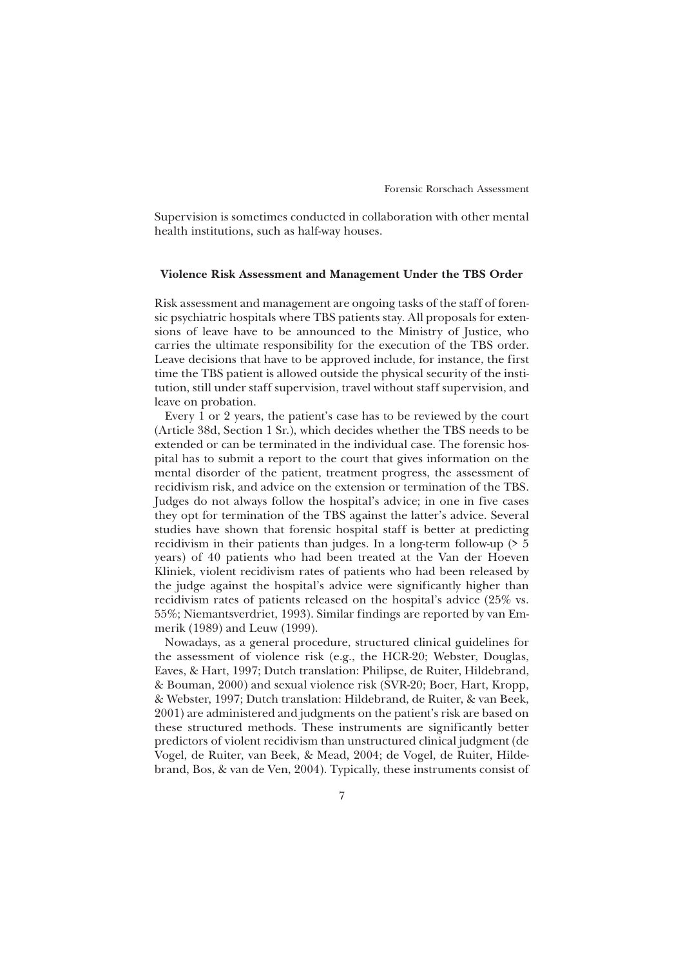Supervision is sometimes conducted in collaboration with other mental health institutions, such as half-way houses.

## **Violence Risk Assessment and Management Under the TBS Order**

Risk assessment and management are ongoing tasks of the staff of forensic psychiatric hospitals where TBS patients stay. All proposals for extensions of leave have to be announced to the Ministry of Justice, who carries the ultimate responsibility for the execution of the TBS order. Leave decisions that have to be approved include, for instance, the first time the TBS patient is allowed outside the physical security of the institution, still under staff supervision, travel without staff supervision, and leave on probation.

Every 1 or 2 years, the patient's case has to be reviewed by the court (Article 38d, Section 1 Sr.), which decides whether the TBS needs to be extended or can be terminated in the individual case. The forensic hospital has to submit a report to the court that gives information on the mental disorder of the patient, treatment progress, the assessment of recidivism risk, and advice on the extension or termination of the TBS. Judges do not always follow the hospital's advice; in one in five cases they opt for termination of the TBS against the latter's advice. Several studies have shown that forensic hospital staff is better at predicting recidivism in their patients than judges. In a long-term follow-up (> 5 years) of 40 patients who had been treated at the Van der Hoeven Kliniek, violent recidivism rates of patients who had been released by the judge against the hospital's advice were significantly higher than recidivism rates of patients released on the hospital's advice (25% vs. 55%; Niemantsverdriet, 1993). Similar findings are reported by van Emmerik (1989) and Leuw (1999).

Nowadays, as a general procedure, structured clinical guidelines for the assessment of violence risk (e.g., the HCR-20; Webster, Douglas, Eaves, & Hart, 1997; Dutch translation: Philipse, de Ruiter, Hildebrand, & Bouman, 2000) and sexual violence risk (SVR-20; Boer, Hart, Kropp, & Webster, 1997; Dutch translation: Hildebrand, de Ruiter, & van Beek, 2001) are administered and judgments on the patient's risk are based on these structured methods. These instruments are significantly better predictors of violent recidivism than unstructured clinical judgment (de Vogel, de Ruiter, van Beek, & Mead, 2004; de Vogel, de Ruiter, Hildebrand, Bos, & van de Ven, 2004). Typically, these instruments consist of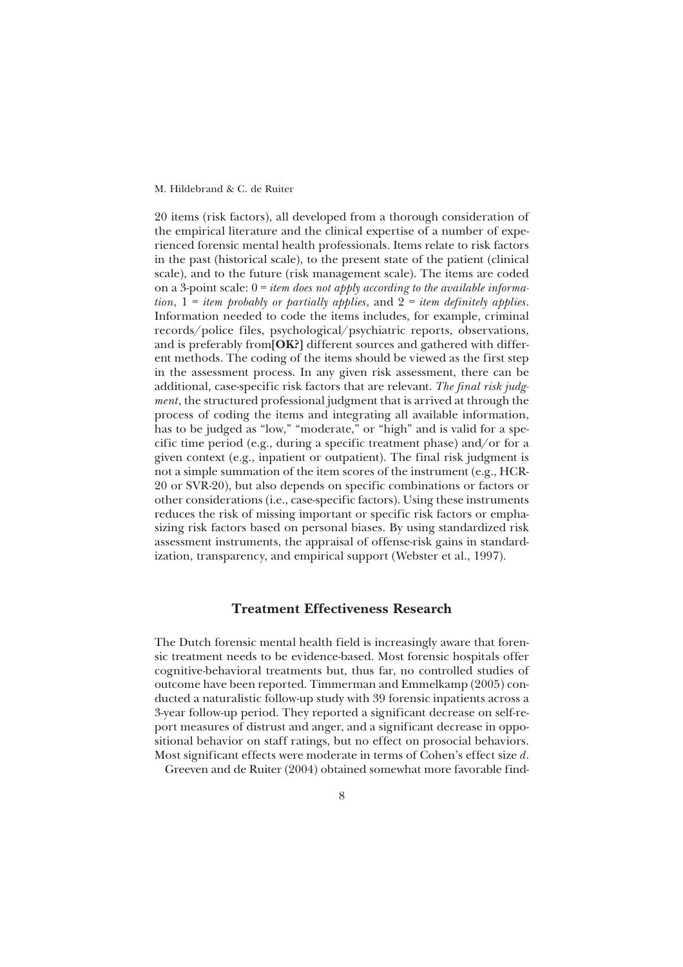20 items (risk factors), all developed from a thorough consideration of the empirical literature and the clinical expertise of a number of experienced forensic mental health professionals. Items relate to risk factors in the past (historical scale), to the present state of the patient (clinical scale), and to the future (risk management scale). The items are coded on a 3-point scale: 0 = *item does not apply according to the available information*,  $1 =$  *item probably or partially applies*, and  $2 =$  *item definitely applies.* Information needed to code the items includes, for example, criminal records/police files, psychological/psychiatric reports, observations, and is preferably from**[OK?]** different sources and gathered with different methods. The coding of the items should be viewed as the first step in the assessment process. In any given risk assessment, there can be additional, case-specific risk factors that are relevant. *The final risk judgment*, the structured professional judgment that is arrived at through the process of coding the items and integrating all available information, has to be judged as "low," "moderate," or "high" and is valid for a specific time period (e.g., during a specific treatment phase) and/or for a given context (e.g., inpatient or outpatient). The final risk judgment is not a simple summation of the item scores of the instrument (e.g., HCR-20 or SVR-20), but also depends on specific combinations or factors or other considerations (i.e., case-specific factors). Using these instruments reduces the risk of missing important or specific risk factors or emphasizing risk factors based on personal biases. By using standardized risk assessment instruments, the appraisal of offense-risk gains in standardization, transparency, and empirical support (Webster et al., 1997).

## **Treatment Effectiveness Research**

The Dutch forensic mental health field is increasingly aware that forensic treatment needs to be evidence-based. Most forensic hospitals offer cognitive-behavioral treatments but, thus far, no controlled studies of outcome have been reported. Timmerman and Emmelkamp (2005) conducted a naturalistic follow-up study with 39 forensic inpatients across a 3-year follow-up period. They reported a significant decrease on self-report measures of distrust and anger, and a significant decrease in oppositional behavior on staff ratings, but no effect on prosocial behaviors. Most significant effects were moderate in terms of Cohen's effect size *d*.

Greeven and de Ruiter (2004) obtained somewhat more favorable find-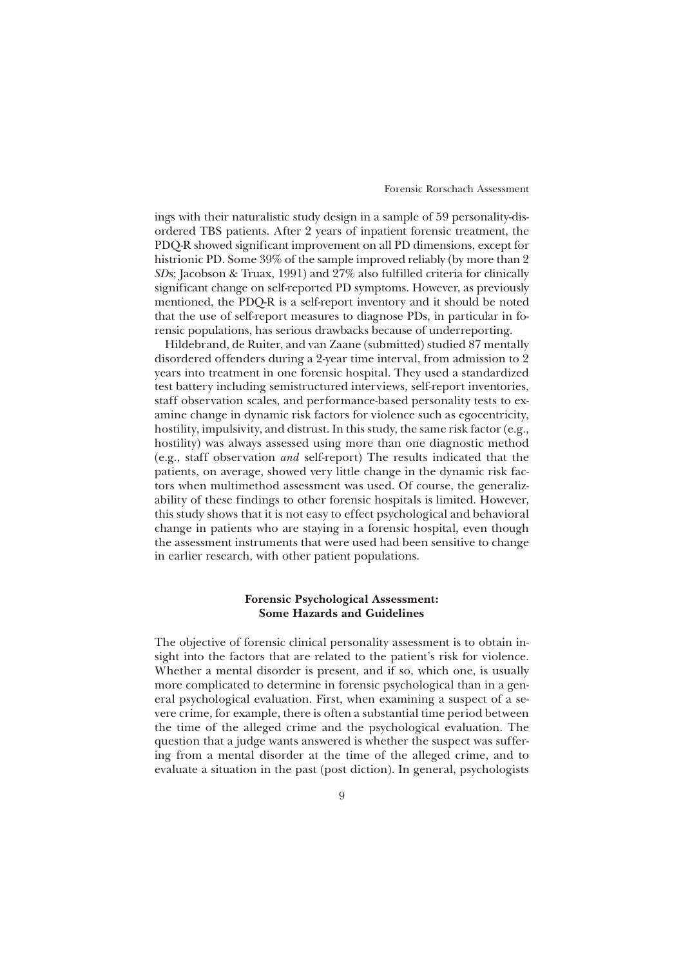ings with their naturalistic study design in a sample of 59 personality-disordered TBS patients. After 2 years of inpatient forensic treatment, the PDQ-R showed significant improvement on all PD dimensions, except for histrionic PD. Some 39% of the sample improved reliably (by more than 2 *SD*s; Jacobson & Truax, 1991) and 27% also fulfilled criteria for clinically significant change on self-reported PD symptoms. However, as previously mentioned, the PDQ-R is a self-report inventory and it should be noted that the use of self-report measures to diagnose PDs, in particular in forensic populations, has serious drawbacks because of underreporting.

Hildebrand, de Ruiter, and van Zaane (submitted) studied 87 mentally disordered offenders during a 2-year time interval, from admission to 2 years into treatment in one forensic hospital. They used a standardized test battery including semistructured interviews, self-report inventories, staff observation scales, and performance-based personality tests to examine change in dynamic risk factors for violence such as egocentricity, hostility, impulsivity, and distrust. In this study, the same risk factor (e.g., hostility) was always assessed using more than one diagnostic method (e.g., staff observation *and* self-report) The results indicated that the patients, on average, showed very little change in the dynamic risk factors when multimethod assessment was used. Of course, the generalizability of these findings to other forensic hospitals is limited. However, this study shows that it is not easy to effect psychological and behavioral change in patients who are staying in a forensic hospital, even though the assessment instruments that were used had been sensitive to change in earlier research, with other patient populations.

## **Forensic Psychological Assessment: Some Hazards and Guidelines**

The objective of forensic clinical personality assessment is to obtain insight into the factors that are related to the patient's risk for violence. Whether a mental disorder is present, and if so, which one, is usually more complicated to determine in forensic psychological than in a general psychological evaluation. First, when examining a suspect of a severe crime, for example, there is often a substantial time period between the time of the alleged crime and the psychological evaluation. The question that a judge wants answered is whether the suspect was suffering from a mental disorder at the time of the alleged crime, and to evaluate a situation in the past (post diction). In general, psychologists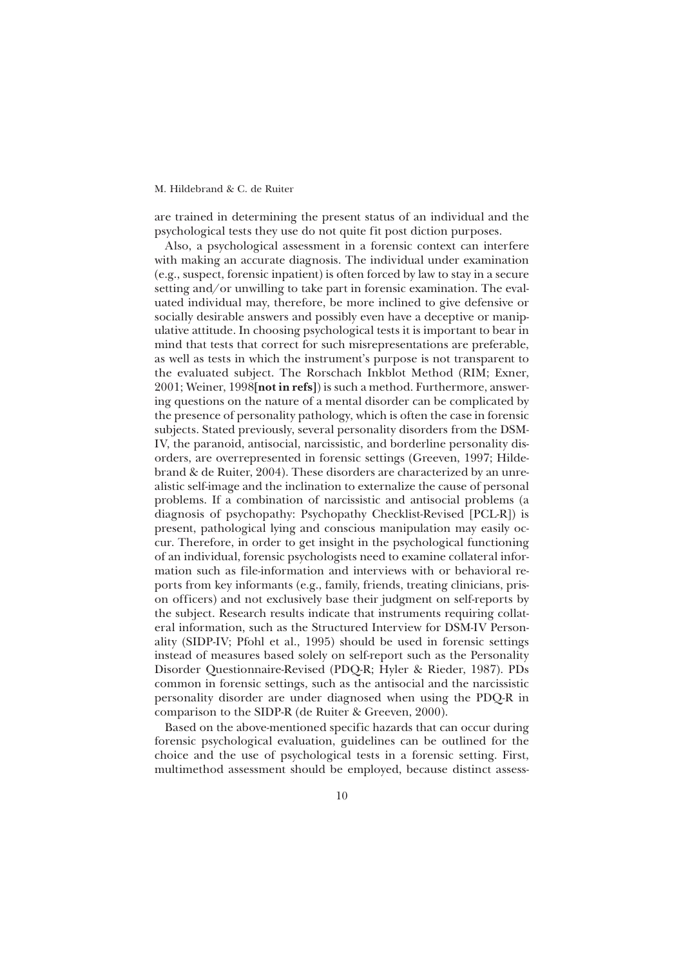are trained in determining the present status of an individual and the psychological tests they use do not quite fit post diction purposes.

Also, a psychological assessment in a forensic context can interfere with making an accurate diagnosis. The individual under examination (e.g., suspect, forensic inpatient) is often forced by law to stay in a secure setting and/or unwilling to take part in forensic examination. The evaluated individual may, therefore, be more inclined to give defensive or socially desirable answers and possibly even have a deceptive or manipulative attitude. In choosing psychological tests it is important to bear in mind that tests that correct for such misrepresentations are preferable, as well as tests in which the instrument's purpose is not transparent to the evaluated subject. The Rorschach Inkblot Method (RIM; Exner, 2001; Weiner, 1998**[not in refs]**) is such a method. Furthermore, answering questions on the nature of a mental disorder can be complicated by the presence of personality pathology, which is often the case in forensic subjects. Stated previously, several personality disorders from the DSM-IV, the paranoid, antisocial, narcissistic, and borderline personality disorders, are overrepresented in forensic settings (Greeven, 1997; Hildebrand & de Ruiter, 2004). These disorders are characterized by an unrealistic self-image and the inclination to externalize the cause of personal problems. If a combination of narcissistic and antisocial problems (a diagnosis of psychopathy: Psychopathy Checklist-Revised [PCL-R]) is present, pathological lying and conscious manipulation may easily occur. Therefore, in order to get insight in the psychological functioning of an individual, forensic psychologists need to examine collateral information such as file-information and interviews with or behavioral reports from key informants (e.g., family, friends, treating clinicians, prison officers) and not exclusively base their judgment on self-reports by the subject. Research results indicate that instruments requiring collateral information, such as the Structured Interview for DSM-IV Personality (SIDP-IV; Pfohl et al., 1995) should be used in forensic settings instead of measures based solely on self-report such as the Personality Disorder Questionnaire-Revised (PDQ-R; Hyler & Rieder, 1987). PDs common in forensic settings, such as the antisocial and the narcissistic personality disorder are under diagnosed when using the PDQ-R in comparison to the SIDP-R (de Ruiter & Greeven, 2000).

Based on the above-mentioned specific hazards that can occur during forensic psychological evaluation, guidelines can be outlined for the choice and the use of psychological tests in a forensic setting. First, multimethod assessment should be employed, because distinct assess-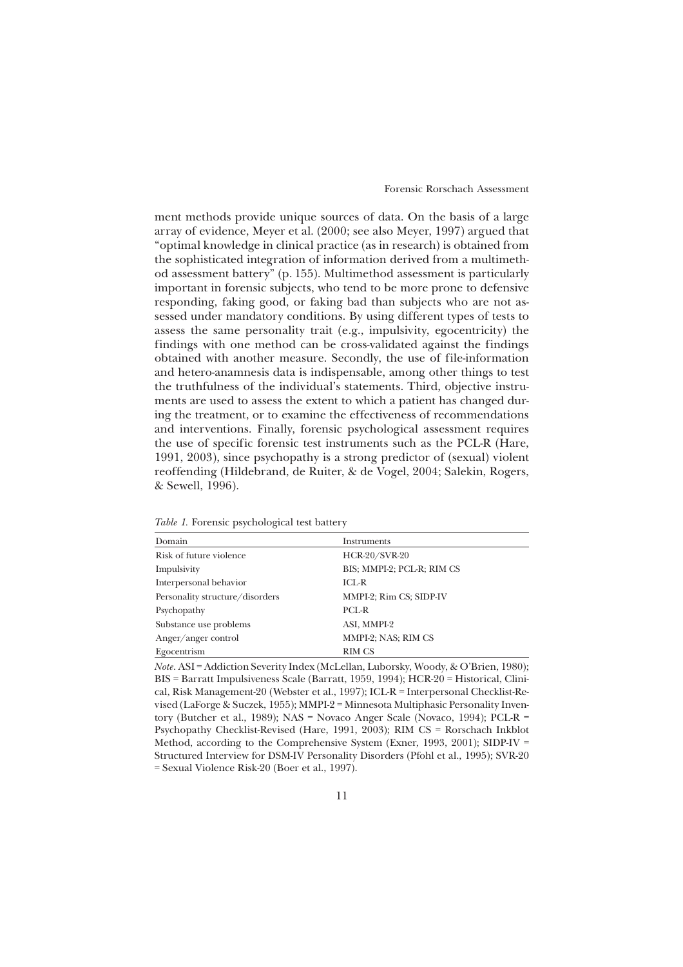ment methods provide unique sources of data. On the basis of a large array of evidence, Meyer et al. (2000; see also Meyer, 1997) argued that "optimal knowledge in clinical practice (as in research) is obtained from the sophisticated integration of information derived from a multimethod assessment battery" (p. 155). Multimethod assessment is particularly important in forensic subjects, who tend to be more prone to defensive responding, faking good, or faking bad than subjects who are not assessed under mandatory conditions. By using different types of tests to assess the same personality trait (e.g., impulsivity, egocentricity) the findings with one method can be cross-validated against the findings obtained with another measure. Secondly, the use of file-information and hetero-anamnesis data is indispensable, among other things to test the truthfulness of the individual's statements. Third, objective instruments are used to assess the extent to which a patient has changed during the treatment, or to examine the effectiveness of recommendations and interventions. Finally, forensic psychological assessment requires the use of specific forensic test instruments such as the PCL-R (Hare, 1991, 2003), since psychopathy is a strong predictor of (sexual) violent reoffending (Hildebrand, de Ruiter, & de Vogel, 2004; Salekin, Rogers, & Sewell, 1996).

| Domain                          | Instruments                |
|---------------------------------|----------------------------|
| Risk of future violence         | <b>HCR-20/SVR-20</b>       |
| Impulsivity                     | BIS; MMPI-2; PCL-R; RIM CS |
| Interpersonal behavior          | $ICL-R$                    |
| Personality structure/disorders | MMPI-2; Rim CS; SIDP-IV    |
| Psychopathy                     | PCL-R                      |
| Substance use problems          | ASI, MMPI-2                |
| Anger/anger control             | MMPI-2; NAS; RIM CS        |
| Egocentrism                     | <b>RIM CS</b>              |

*Table 1.* Forensic psychological test battery

*Note*. ASI = Addiction Severity Index (McLellan, Luborsky, Woody, & O'Brien, 1980); BIS = Barratt Impulsiveness Scale (Barratt, 1959, 1994); HCR-20 = Historical, Clinical, Risk Management-20 (Webster et al., 1997); ICL-R = Interpersonal Checklist-Revised (LaForge & Suczek, 1955); MMPI-2 = Minnesota Multiphasic Personality Inventory (Butcher et al., 1989); NAS = Novaco Anger Scale (Novaco, 1994); PCL-R = Psychopathy Checklist-Revised (Hare, 1991, 2003); RIM CS = Rorschach Inkblot Method, according to the Comprehensive System (Exner, 1993, 2001); SIDP-IV = Structured Interview for DSM-IV Personality Disorders (Pfohl et al., 1995); SVR-20 = Sexual Violence Risk-20 (Boer et al., 1997).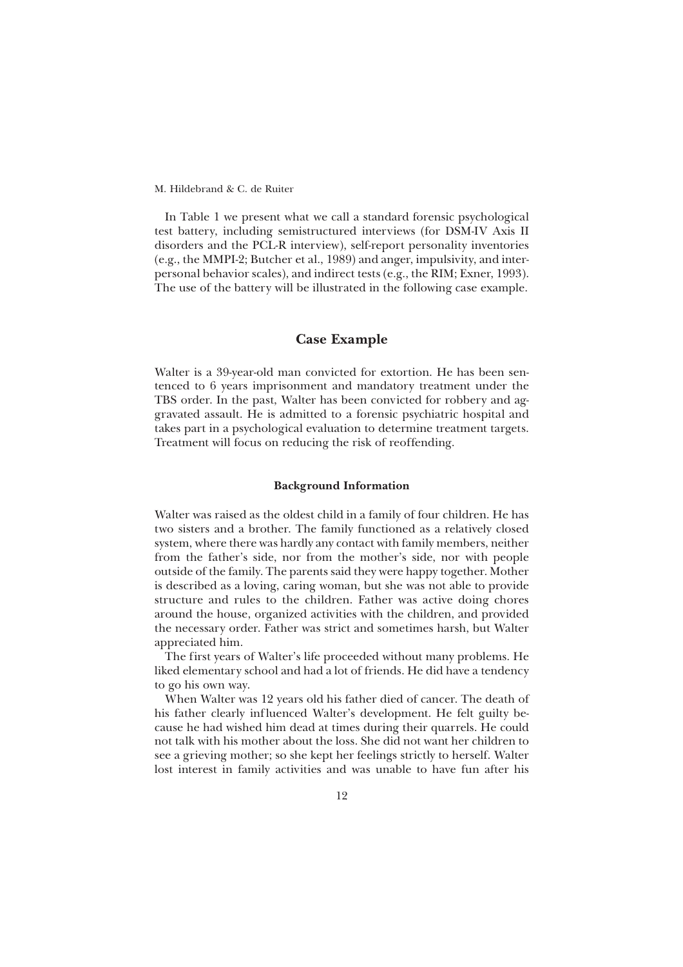In Table 1 we present what we call a standard forensic psychological test battery, including semistructured interviews (for DSM-IV Axis II disorders and the PCL-R interview), self-report personality inventories (e.g., the MMPI-2; Butcher et al., 1989) and anger, impulsivity, and interpersonal behavior scales), and indirect tests (e.g., the RIM; Exner, 1993). The use of the battery will be illustrated in the following case example.

# **Case Example**

Walter is a 39-year-old man convicted for extortion. He has been sentenced to 6 years imprisonment and mandatory treatment under the TBS order. In the past, Walter has been convicted for robbery and aggravated assault. He is admitted to a forensic psychiatric hospital and takes part in a psychological evaluation to determine treatment targets. Treatment will focus on reducing the risk of reoffending.

## **Background Information**

Walter was raised as the oldest child in a family of four children. He has two sisters and a brother. The family functioned as a relatively closed system, where there was hardly any contact with family members, neither from the father's side, nor from the mother's side, nor with people outside of the family. The parents said they were happy together. Mother is described as a loving, caring woman, but she was not able to provide structure and rules to the children. Father was active doing chores around the house, organized activities with the children, and provided the necessary order. Father was strict and sometimes harsh, but Walter appreciated him.

The first years of Walter's life proceeded without many problems. He liked elementary school and had a lot of friends. He did have a tendency to go his own way.

When Walter was 12 years old his father died of cancer. The death of his father clearly influenced Walter's development. He felt guilty because he had wished him dead at times during their quarrels. He could not talk with his mother about the loss. She did not want her children to see a grieving mother; so she kept her feelings strictly to herself. Walter lost interest in family activities and was unable to have fun after his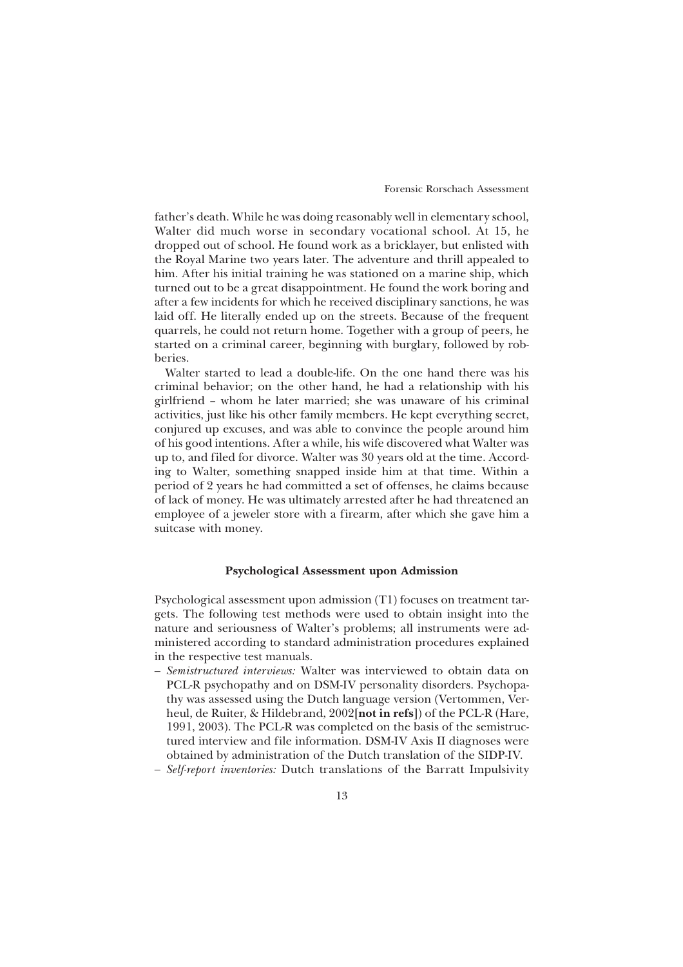father's death. While he was doing reasonably well in elementary school, Walter did much worse in secondary vocational school. At 15, he dropped out of school. He found work as a bricklayer, but enlisted with the Royal Marine two years later. The adventure and thrill appealed to him. After his initial training he was stationed on a marine ship, which turned out to be a great disappointment. He found the work boring and after a few incidents for which he received disciplinary sanctions, he was laid off. He literally ended up on the streets. Because of the frequent quarrels, he could not return home. Together with a group of peers, he started on a criminal career, beginning with burglary, followed by robberies.

Walter started to lead a double-life. On the one hand there was his criminal behavior; on the other hand, he had a relationship with his girlfriend – whom he later married; she was unaware of his criminal activities, just like his other family members. He kept everything secret, conjured up excuses, and was able to convince the people around him of his good intentions. After a while, his wife discovered what Walter was up to, and filed for divorce. Walter was 30 years old at the time. According to Walter, something snapped inside him at that time. Within a period of 2 years he had committed a set of offenses, he claims because of lack of money. He was ultimately arrested after he had threatened an employee of a jeweler store with a firearm, after which she gave him a suitcase with money.

## **Psychological Assessment upon Admission**

Psychological assessment upon admission (T1) focuses on treatment targets. The following test methods were used to obtain insight into the nature and seriousness of Walter's problems; all instruments were administered according to standard administration procedures explained in the respective test manuals.

- *Semistructured interviews:* Walter was interviewed to obtain data on PCL-R psychopathy and on DSM-IV personality disorders. Psychopathy was assessed using the Dutch language version (Vertommen, Verheul, de Ruiter, & Hildebrand, 2002**[not in refs]**) of the PCL-R (Hare, 1991, 2003). The PCL-R was completed on the basis of the semistructured interview and file information. DSM-IV Axis II diagnoses were obtained by administration of the Dutch translation of the SIDP-IV.
- *Self-report inventories:* Dutch translations of the Barratt Impulsivity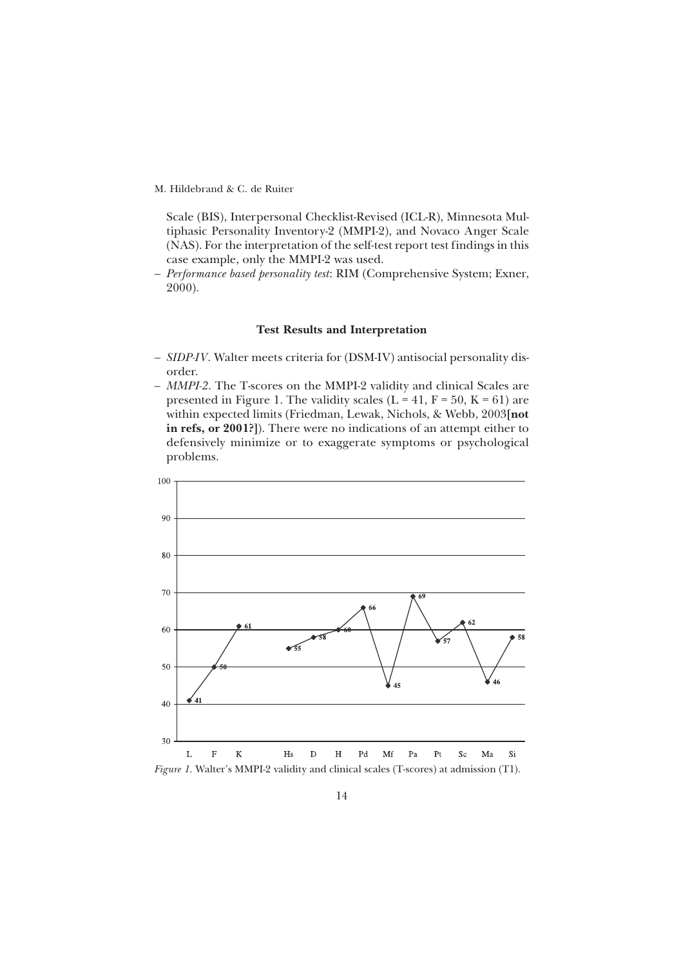Scale (BIS), Interpersonal Checklist-Revised (ICL-R), Minnesota Multiphasic Personality Inventory-2 (MMPI-2), and Novaco Anger Scale (NAS). For the interpretation of the self-test report test findings in this case example, only the MMPI-2 was used.

– *Performance based personality test*: RIM (Comprehensive System; Exner, 2000).

## **Test Results and Interpretation**

- *SIDP-IV*. Walter meets criteria for (DSM-IV) antisocial personality disorder.
- *MMPI-2*. The T-scores on the MMPI-2 validity and clinical Scales are presented in Figure 1. The validity scales ( $L = 41$ ,  $F = 50$ ,  $K = 61$ ) are within expected limits (Friedman, Lewak, Nichols, & Webb, 2003**[not in refs, or 2001?]**). There were no indications of an attempt either to defensively minimize or to exaggerate symptoms or psychological problems.

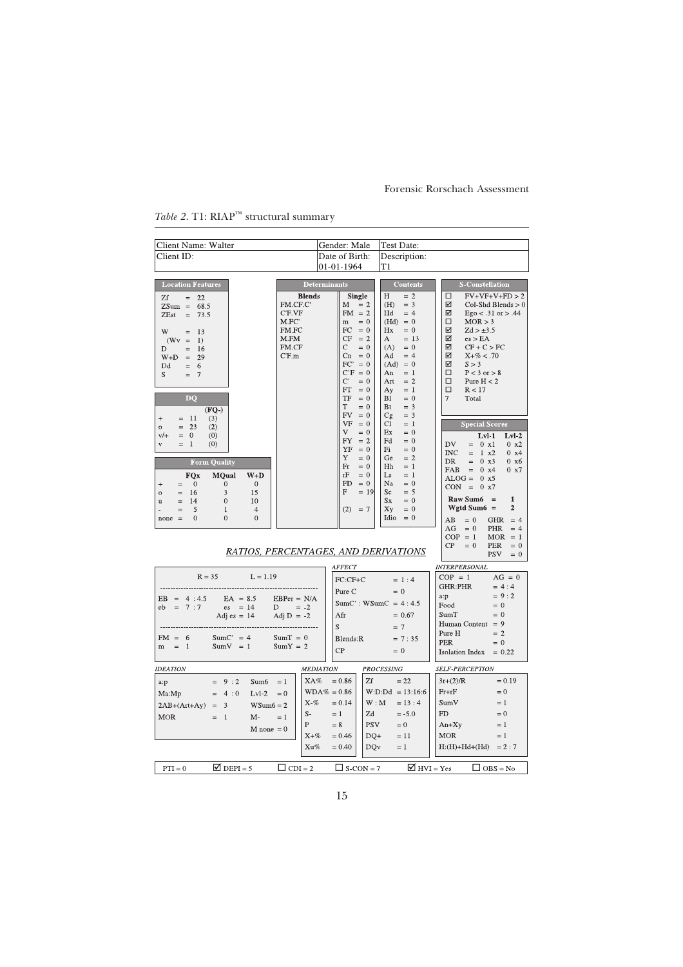| Client Name: Walter                                                                                                                                                                        |                            | Gender: Male                                                                                    |                                  | Test Date:                                                                                             |                                                                                                                                                           |
|--------------------------------------------------------------------------------------------------------------------------------------------------------------------------------------------|----------------------------|-------------------------------------------------------------------------------------------------|----------------------------------|--------------------------------------------------------------------------------------------------------|-----------------------------------------------------------------------------------------------------------------------------------------------------------|
| Client ID:                                                                                                                                                                                 |                            | Date of Birth:                                                                                  |                                  | Description:                                                                                           |                                                                                                                                                           |
|                                                                                                                                                                                            |                            | 01-01-1964                                                                                      |                                  | T1                                                                                                     |                                                                                                                                                           |
| <b>Location Features</b><br>Zf<br>$=$<br>22                                                                                                                                                | <b>Blends</b><br>FM.CF.C'  | <b>Determinants</b><br><b>Single</b><br>M                                                       | $= 2$                            | <b>Contents</b><br>$= 2$<br>Н<br>(H)<br>$=$ 3                                                          | <b>S-Constellation</b><br>$FV+VF+V+FD > 2$<br>$\Box$<br>☑<br>$Col-Shd\,Blends > 0$                                                                        |
| $ZSum =$<br>68.5<br>73.5<br>ZEst<br>$\equiv$                                                                                                                                               | C'F.VF<br>M.FC'<br>FM.FC   | $FM = 2$<br>m<br>FC                                                                             | $= 0$<br>$= 0$                   | Hd<br>$= 4$<br>$(Hd) = 0$<br>Hx<br>$= 0$                                                               | ☑<br>$Ego < .31$ or $> .44$<br>□<br>MOR > 3<br>☑<br>$Zd > \pm 3.5$                                                                                        |
| W<br>13<br>$=$<br>(Wy<br>$\equiv$<br>1)<br>16<br>D<br>$=$<br>29<br>$W+D$<br>$\hspace{1.6cm} = \hspace{1.6cm}$<br>Dd<br>$=$<br>6<br>S<br>-7<br>$=$                                          | M.FM<br>FM.CF<br>$C$ $F.m$ | CF<br>C.<br>$Cn = 0$<br>$FC' = 0$<br>$C'F = 0$<br>$\mathcal{C}^*$<br>$\mathop{\rm FT}\nolimits$ | $= 2$<br>$= 0$<br>$= 0$<br>$= 0$ | $= 13$<br>A<br>(A)<br>$= 0$<br>Ad<br>$= 4$<br>$(Ad) = 0$<br>An<br>$=$ 1<br>Art<br>$= 2$<br>Ay<br>$=$ 1 | ☑<br>es > EA<br>☑<br>$CF + C > FC$<br>☑<br>$X + \% < .70$<br>☑<br>S > 3<br>$P < 3$ or $> 8$<br>□<br>$\Box$<br>Pure $H < 2$<br>$\Box$<br>R < 17            |
| <b>DQ</b><br>$(FQ-)$<br>(3)<br>$^{+}$<br>-11<br>$=$                                                                                                                                        |                            | TF<br>T<br>FV<br>VF                                                                             | $= 0$<br>$= 0$<br>$= 0$<br>$= 0$ | Bl<br>$= 0$<br>Bt<br>$=$ 3<br>Cg<br>$=$ 3<br>Сl<br>$=$ 1                                               | $\overline{7}$<br>Total<br><b>Special Scores</b>                                                                                                          |
| 23<br>(2)<br>$\circ$<br>$=$<br>$v/+$<br>$=$<br>$\mathbf{0}$<br>(0)<br>$=$<br>-1<br>(0)<br>$\bar{V}$                                                                                        |                            | V<br>FY<br>YF                                                                                   | $= 0$<br>$= 2$<br>$= 0$          | Ex<br>$= 0$<br>Fd<br>$= 0$<br>Fi<br>$= 0$                                                              | $Lvl-1$<br>$Lvl-2$<br>DV<br>$= 0 x1$<br>0 x2<br><b>INC</b><br>1 x2<br>$0 \times 4$<br>$=$                                                                 |
| Form Quality<br><b>FQx</b><br><b>MQual</b><br>$W+D$<br>$\overline{0}$<br>$\mathbf{0}$<br>$\overline{0}$<br>$\begin{array}{c} + \end{array}$<br>$=$                                         |                            | Y<br>Fr<br>rF<br><b>FD</b>                                                                      | $= 0$<br>$= 0$<br>$= 0$<br>$= 0$ | Ge<br>$= 2$<br><b>H<sub>h</sub></b><br>$=$ 1<br>Ls<br>$=$ 1<br>Na<br>$= 0$                             | <b>DR</b><br>0 x3<br>$0 \times 6$<br>$\qquad \qquad =$<br>FAB<br>$0 \times 4$<br>$0 \times 7$<br>$\quad =$<br>$ALOG =$<br>0 x5<br>$CON =$<br>$0 \times 7$ |
| 3<br>15<br>16<br>$\overline{O}$<br>$=$<br>$\theta$<br>14<br>10<br>$=$<br>$\mathbf u$<br>5<br>$\mathbf{1}$<br>$\overline{4}$<br>$=$<br>$\theta$<br>$\Omega$<br>$\boldsymbol{0}$<br>$none =$ |                            | F<br>(2)                                                                                        | $= 19$<br>$= 7$                  | Sc<br>$= 5$<br>Sx<br>$= 0$<br>Xy<br>$= 0$<br>Idio<br>$= 0$                                             | <b>Raw Sum6</b><br>$\mathbf{1}$<br>$=$<br>Wgtd Sum $6 =$<br>$\overline{2}$<br>$= 0$<br><b>GHR</b><br>AB<br>$= 4$                                          |
| RATIOS, PERCENTAGES, AND DERIVATIONS                                                                                                                                                       |                            |                                                                                                 |                                  |                                                                                                        | AG<br>$= 0$<br>PHR<br>$= 4$<br>$COP = 1$<br>$MOR = 1$<br>CP<br>$= 0$<br><b>PER</b><br>$= 0$<br><b>PSV</b><br>$= 0$                                        |
|                                                                                                                                                                                            |                            | AFFECT                                                                                          |                                  |                                                                                                        | <b>INTERPERSONAL</b>                                                                                                                                      |
| $R = 35$<br>$L = 1.19$                                                                                                                                                                     |                            | FC:CF+C                                                                                         |                                  | $= 1:4$                                                                                                | $COP = 1$<br>$AG = 0$<br><b>GHR:PHR</b><br>$= 4:4$                                                                                                        |
| $EB = 4:4.5$<br>$EA = 8.5$                                                                                                                                                                 | $EBPer = N/A$              | Pure C                                                                                          |                                  | $= 0$                                                                                                  | $= 9:2$<br>a:p                                                                                                                                            |
| 7:7<br>$\text{es} = 14$<br>eb<br>$\qquad \qquad =$                                                                                                                                         | D<br>$= -2$                |                                                                                                 |                                  | $SumC': WSumC = 4:4.5$                                                                                 | Food<br>$= 0$                                                                                                                                             |
| Adj es = $14$                                                                                                                                                                              | Adj $D = -2$               | Afr                                                                                             |                                  | $= 0.67$                                                                                               | $= 0$<br>SumT<br>Human Content = $9$                                                                                                                      |
|                                                                                                                                                                                            |                            | S                                                                                               |                                  | $= 7$                                                                                                  | $= 2$<br>Pure H                                                                                                                                           |
| $SumC' = 4$<br>$FM = 6$<br>$m =$<br>$\overline{1}$<br>$SumV = 1$                                                                                                                           | $SumT = 0$<br>$SumY = 2$   | Blends:R                                                                                        |                                  | $= 7:35$                                                                                               | <b>PER</b><br>$= 0$                                                                                                                                       |
|                                                                                                                                                                                            |                            | CP                                                                                              |                                  | $= 0$                                                                                                  | Isolation Index $= 0.22$                                                                                                                                  |
| <b>IDEATION</b>                                                                                                                                                                            |                            | <b>MEDIATION</b>                                                                                |                                  | PROCESSING                                                                                             | <b>SELF-PERCEPTION</b>                                                                                                                                    |
| $= 9:2$<br>Sum <sub>6</sub><br>a:p                                                                                                                                                         | XA%<br>$=1$                | $= 0.86$                                                                                        | Zf                               | $= 22$                                                                                                 | $3r+(2)/R$<br>$= 0.19$                                                                                                                                    |
| $= 4:0$<br>$Lvl-2$<br>Ma:Mp                                                                                                                                                                | $= 0$                      | $WDA\% = 0.86$                                                                                  |                                  | $W:D:Dd = 13:16:6$                                                                                     | $Fr + rF$<br>$= 0$                                                                                                                                        |
| $\overline{\mathbf{3}}$<br>$WSum6 = 2$<br>$2AB+(Art+Ay) =$                                                                                                                                 | $X - \%$                   | $= 0.14$                                                                                        | W : M                            | $= 13:4$                                                                                               | SumV<br>$=1$                                                                                                                                              |
| <b>MOR</b><br>$=$ 1<br>$M -$                                                                                                                                                               | $S-$<br>$= 1$              | $=1$                                                                                            | Zd                               | $=-5.0$                                                                                                | FD<br>$= 0$                                                                                                                                               |
| $M$ none = 0                                                                                                                                                                               | P                          | $= 8$                                                                                           | <b>PSV</b>                       | $= 0$                                                                                                  | $An+Xy$<br>$=1$                                                                                                                                           |
|                                                                                                                                                                                            | $X + \%$                   | $= 0.46$                                                                                        | $DO+$                            | $= 11$                                                                                                 | <b>MOR</b><br>$=1$                                                                                                                                        |
|                                                                                                                                                                                            | Xu%                        | $= 0.40$                                                                                        | <b>DQv</b>                       | $=1$                                                                                                   | $H:(H)+Hd+(Hd) = 2:7$                                                                                                                                     |
| $\Box$ DEPI = 5<br>$PTI = 0$                                                                                                                                                               | $\Box$ CDI = 2             | $\Box$ S-CON = 7                                                                                |                                  | $\blacksquare$ HVI = Yes                                                                               | $\Box$ OBS = No                                                                                                                                           |

# $Table~2.~\mathrm{TI}\:;\mathrm{RIAP}^{\mathrm{TM}}$  structural summary

15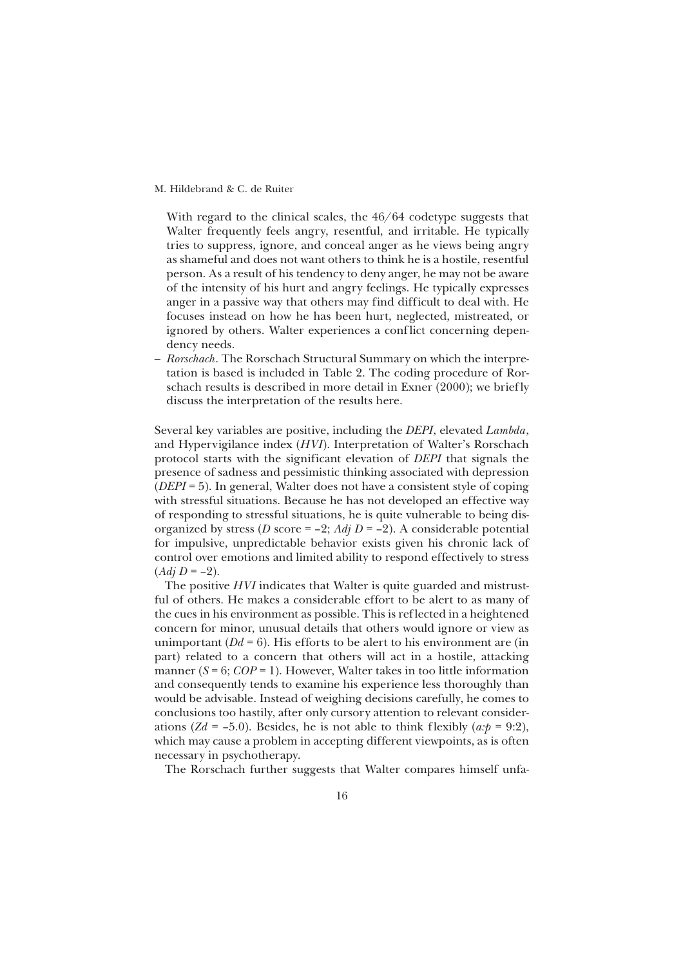With regard to the clinical scales, the 46/64 codetype suggests that Walter frequently feels angry, resentful, and irritable. He typically tries to suppress, ignore, and conceal anger as he views being angry as shameful and does not want others to think he is a hostile, resentful person. As a result of his tendency to deny anger, he may not be aware of the intensity of his hurt and angry feelings. He typically expresses anger in a passive way that others may find difficult to deal with. He focuses instead on how he has been hurt, neglected, mistreated, or ignored by others. Walter experiences a conf lict concerning dependency needs.

– *Rorschach*. The Rorschach Structural Summary on which the interpretation is based is included in Table 2. The coding procedure of Rorschach results is described in more detail in Exner (2000); we briefly discuss the interpretation of the results here.

Several key variables are positive, including the *DEPI*, elevated *Lambda*, and Hypervigilance index (*HVI*). Interpretation of Walter's Rorschach protocol starts with the significant elevation of *DEPI* that signals the presence of sadness and pessimistic thinking associated with depression (*DEPI* = 5). In general, Walter does not have a consistent style of coping with stressful situations. Because he has not developed an effective way of responding to stressful situations, he is quite vulnerable to being disorganized by stress (*D* score = -2; *Adj D* = -2). A considerable potential for impulsive, unpredictable behavior exists given his chronic lack of control over emotions and limited ability to respond effectively to stress  $(Adj D = -2).$ 

The positive *HVI* indicates that Walter is quite guarded and mistrustful of others. He makes a considerable effort to be alert to as many of the cues in his environment as possible. This is reflected in a heightened concern for minor, unusual details that others would ignore or view as unimportant  $(Dd = 6)$ . His efforts to be alert to his environment are (in part) related to a concern that others will act in a hostile, attacking manner  $(S = 6; COP = 1)$ . However, Walter takes in too little information and consequently tends to examine his experience less thoroughly than would be advisable. Instead of weighing decisions carefully, he comes to conclusions too hastily, after only cursory attention to relevant considerations (*Zd* = –5.0). Besides, he is not able to think flexibly ( $a:p = 9:2$ ), which may cause a problem in accepting different viewpoints, as is often necessary in psychotherapy.

The Rorschach further suggests that Walter compares himself unfa-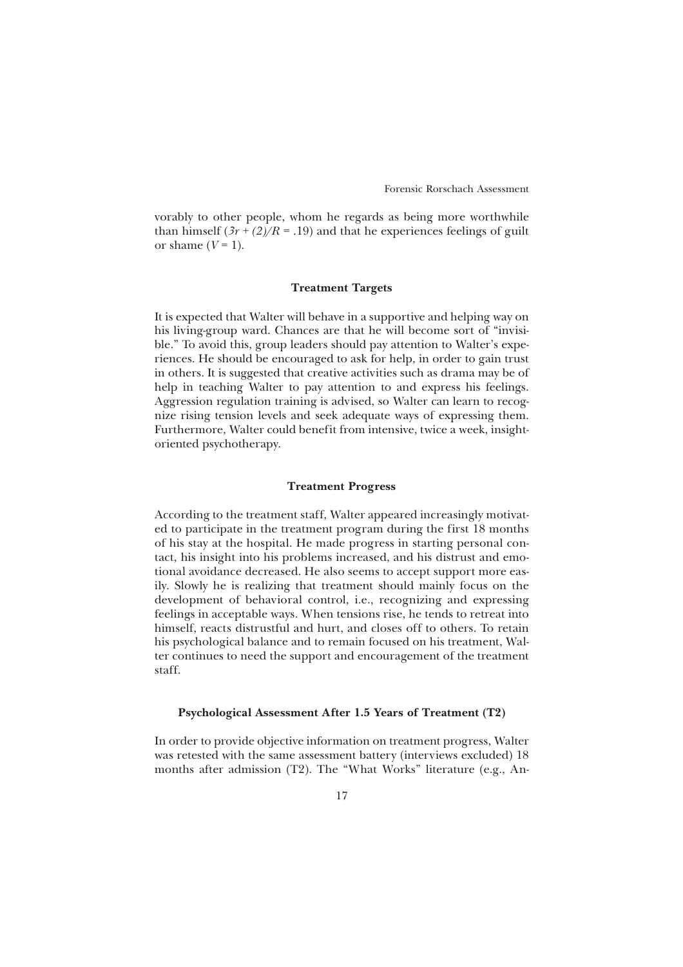vorably to other people, whom he regards as being more worthwhile than himself  $(3r + (2)/R = .19)$  and that he experiences feelings of guilt or shame  $(V=1)$ .

## **Treatment Targets**

It is expected that Walter will behave in a supportive and helping way on his living-group ward. Chances are that he will become sort of "invisible." To avoid this, group leaders should pay attention to Walter's experiences. He should be encouraged to ask for help, in order to gain trust in others. It is suggested that creative activities such as drama may be of help in teaching Walter to pay attention to and express his feelings. Aggression regulation training is advised, so Walter can learn to recognize rising tension levels and seek adequate ways of expressing them. Furthermore, Walter could benefit from intensive, twice a week, insightoriented psychotherapy.

#### **Treatment Progress**

According to the treatment staff, Walter appeared increasingly motivated to participate in the treatment program during the first 18 months of his stay at the hospital. He made progress in starting personal contact, his insight into his problems increased, and his distrust and emotional avoidance decreased. He also seems to accept support more easily. Slowly he is realizing that treatment should mainly focus on the development of behavioral control, i.e., recognizing and expressing feelings in acceptable ways. When tensions rise, he tends to retreat into himself, reacts distrustful and hurt, and closes off to others. To retain his psychological balance and to remain focused on his treatment, Walter continues to need the support and encouragement of the treatment staff.

## **Psychological Assessment After 1.5 Years of Treatment (T2)**

In order to provide objective information on treatment progress, Walter was retested with the same assessment battery (interviews excluded) 18 months after admission (T2). The "What Works" literature (e.g., An-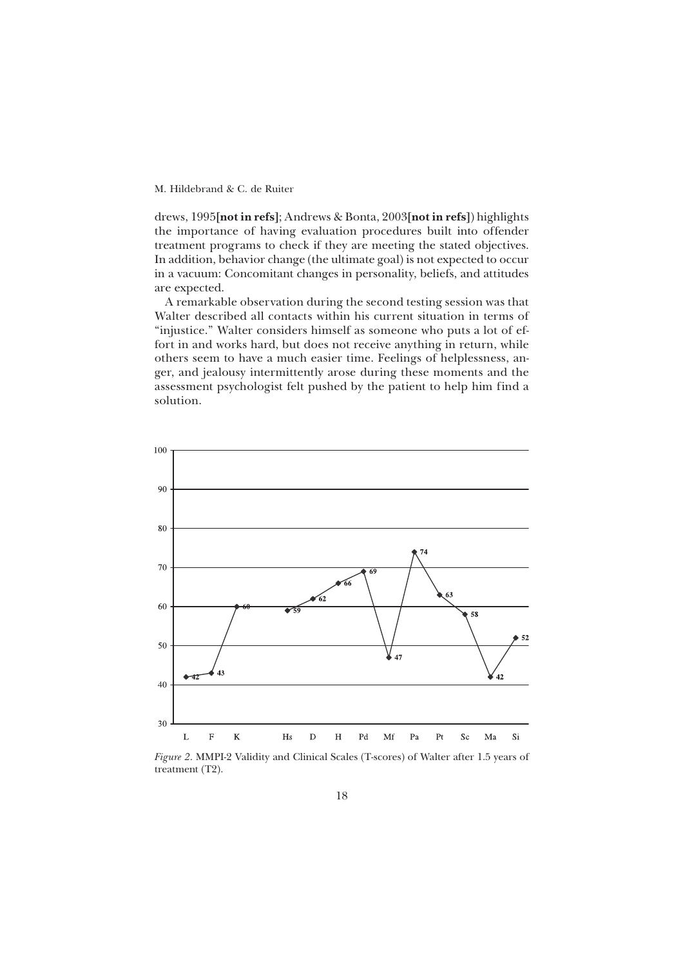drews, 1995**[not in refs]**; Andrews & Bonta, 2003**[not in refs]**) highlights the importance of having evaluation procedures built into offender treatment programs to check if they are meeting the stated objectives. In addition, behavior change (the ultimate goal) is not expected to occur in a vacuum: Concomitant changes in personality, beliefs, and attitudes are expected.

A remarkable observation during the second testing session was that Walter described all contacts within his current situation in terms of "injustice." Walter considers himself as someone who puts a lot of effort in and works hard, but does not receive anything in return, while others seem to have a much easier time. Feelings of helplessness, anger, and jealousy intermittently arose during these moments and the assessment psychologist felt pushed by the patient to help him find a solution.



*Figure 2*. MMPI-2 Validity and Clinical Scales (T-scores) of Walter after 1.5 years of treatment (T2).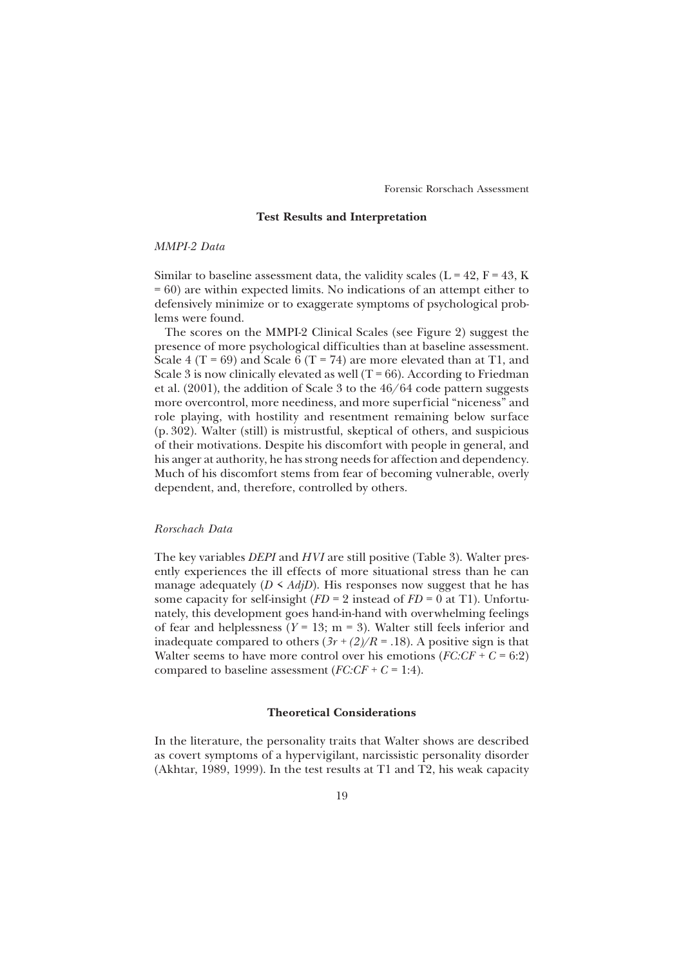## **Test Results and Interpretation**

## *MMPI-2 Data*

Similar to baseline assessment data, the validity scales ( $L = 42$ ,  $F = 43$ , K = 60) are within expected limits. No indications of an attempt either to defensively minimize or to exaggerate symptoms of psychological problems were found.

The scores on the MMPI-2 Clinical Scales (see Figure 2) suggest the presence of more psychological difficulties than at baseline assessment. Scale 4 (T = 69) and Scale  $\vec{6}$  (T = 74) are more elevated than at T1, and Scale 3 is now clinically elevated as well  $(T = 66)$ . According to Friedman et al. (2001), the addition of Scale 3 to the 46/64 code pattern suggests more overcontrol, more neediness, and more superficial "niceness" and role playing, with hostility and resentment remaining below surface (p. 302). Walter (still) is mistrustful, skeptical of others, and suspicious of their motivations. Despite his discomfort with people in general, and his anger at authority, he has strong needs for affection and dependency. Much of his discomfort stems from fear of becoming vulnerable, overly dependent, and, therefore, controlled by others.

#### *Rorschach Data*

The key variables *DEPI* and *HVI* are still positive (Table 3). Walter presently experiences the ill effects of more situational stress than he can manage adequately  $(D \leq AdjD)$ . His responses now suggest that he has some capacity for self-insight  $(FD = 2$  instead of  $FD = 0$  at T1). Unfortunately, this development goes hand-in-hand with overwhelming feelings of fear and helplessness ( $Y = 13$ ; m = 3). Walter still feels inferior and inadequate compared to others  $(3r + (2)/R = .18)$ . A positive sign is that Walter seems to have more control over his emotions  $(FC \cdot CF + C = 6:2)$ compared to baseline assessment  $(FC \cdot CF + C = 1:4)$ .

## **Theoretical Considerations**

In the literature, the personality traits that Walter shows are described as covert symptoms of a hypervigilant, narcissistic personality disorder (Akhtar, 1989, 1999). In the test results at T1 and T2, his weak capacity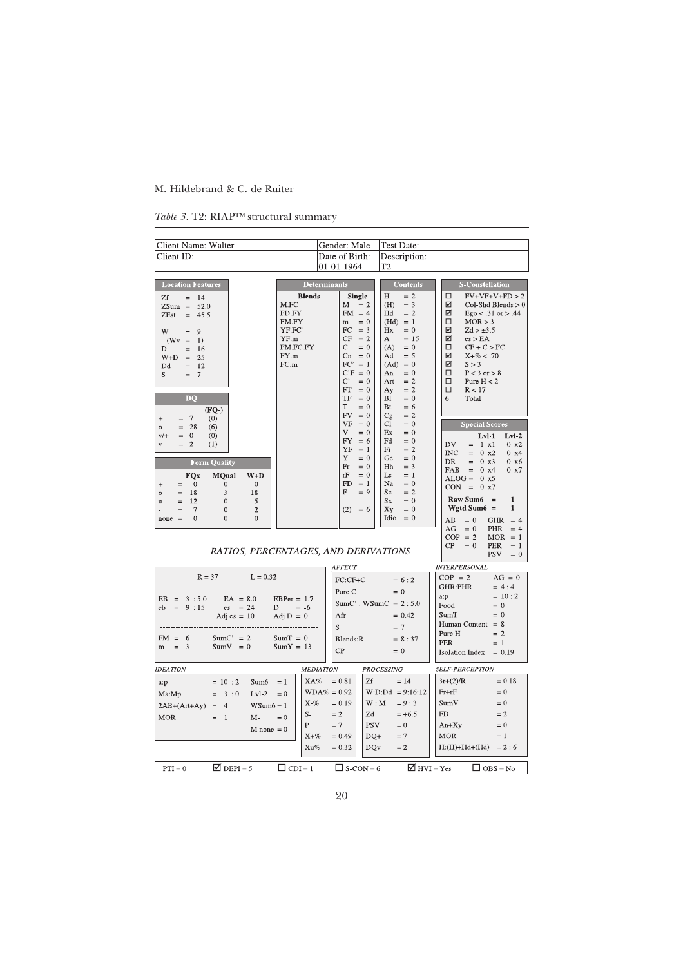| <i>Table 3.</i> T2: RIAP <sup>TM</sup> structural summary |
|-----------------------------------------------------------|
|                                                           |

| Client Name: Walter                                                                                                                                                                                                                                                                                                                                                                                                                                                            |                                                                                       | Gender: Male                                                                                                                                                                                                                            | Test Date:                                                                                                                                                                                                                        |                                                                                                                                                                                                                                                                                                                                                                                                                                         |
|--------------------------------------------------------------------------------------------------------------------------------------------------------------------------------------------------------------------------------------------------------------------------------------------------------------------------------------------------------------------------------------------------------------------------------------------------------------------------------|---------------------------------------------------------------------------------------|-----------------------------------------------------------------------------------------------------------------------------------------------------------------------------------------------------------------------------------------|-----------------------------------------------------------------------------------------------------------------------------------------------------------------------------------------------------------------------------------|-----------------------------------------------------------------------------------------------------------------------------------------------------------------------------------------------------------------------------------------------------------------------------------------------------------------------------------------------------------------------------------------------------------------------------------------|
| Client ID:                                                                                                                                                                                                                                                                                                                                                                                                                                                                     |                                                                                       | Date of Birth:                                                                                                                                                                                                                          | Description:                                                                                                                                                                                                                      |                                                                                                                                                                                                                                                                                                                                                                                                                                         |
|                                                                                                                                                                                                                                                                                                                                                                                                                                                                                |                                                                                       | 01-01-1964                                                                                                                                                                                                                              | T2                                                                                                                                                                                                                                |                                                                                                                                                                                                                                                                                                                                                                                                                                         |
| <b>Location Features</b><br>Zf<br>$=$ 14<br>$ZSum = 52.0$<br>ZEst<br>$= 45.5$<br>$\overline{9}$<br>W -<br>$\quad =$<br>$(Wv =$<br>$\left  \right $<br>- 16<br>D<br>$\equiv$<br>$W+D = 25$<br>$=$ 12<br>Dd<br>$\overline{7}$<br>S.<br>$\equiv$<br><b>DO</b><br>$(FO-)$                                                                                                                                                                                                          | <b>Blends</b><br>M.FC<br>FD.FY<br>FM.FY<br>YF.FC'<br>YF.m<br>FM.FC.FY<br>FY.m<br>FC.m | <b>Determinants</b><br><b>Single</b><br>$M = 2$<br>$FM = 4$<br>$m = 0$<br>$FC = 3$<br>$CF = 2$<br>$\mathbf{C}$<br>$= 0$<br>$Cn = 0$<br>$FC' = 1$<br>$C'F = 0$<br>$\mathrm{C}^\ast$<br>$= 0$<br>FT<br>$= 0$<br>TF<br>$= 0$<br>T<br>$= 0$ | <b>Contents</b><br>$= 2$<br>H<br>(H)<br>$=$ 3<br>$= 2$<br>Hd<br>$(Hd) = 1$<br>Hx<br>$= 0$<br>A<br>$= 15$<br>(A)<br>$= 0$<br>$= 5$<br>Ad<br>$(Ad) = 0$<br>An<br>$= 0$<br>$= 2$<br>Art<br>$= 2$<br>Ay<br>$= 0$<br>Bl<br>Bt<br>$= 6$ | <b>S</b> -Constellation<br>$FV+VF+V+FD > 2$<br>□<br>☑<br>Col-Shd Blends $> 0$<br>☑<br>$Ego < .31$ or $> .44$<br>□<br>MOR > 3<br>☑<br>$Zd > \pm 3.5$<br>☑<br>es > EA<br>$\Box$<br>$CF + C > FC$<br>☑<br>$X + \% < .70$<br>☑<br>S > 3<br>П<br>$P < 3$ or $> 8$<br>$\Box$<br>Pure $H < 2$<br>$\Box$<br>R < 17<br>6<br>Total                                                                                                                |
| $= 7$<br>$^{+}$<br>(0)<br>$= 28$<br>(6)<br>$\overline{O}$<br>$v/+$<br>$= 0$<br>(0)<br>$= 2$<br>(1)<br>$_{\rm V}$<br><b>Form Quality</b><br><b>FOx</b><br><b>MQual</b><br>$W+D$<br>$\overline{0}$<br>$\overline{0}$<br>$\overline{0}$<br>$^{+}$<br>$=$<br>3<br>18<br>18<br>$=$<br>$\circ$<br><sup>12</sup><br>$\overline{0}$<br>5<br>$=$<br>ū<br>$\sqrt{2}$<br>7<br>$\mathbf{0}$<br>$=$<br>$\theta$<br>$\Omega$<br>$\theta$<br>$none =$<br>RATIOS, PERCENTAGES, AND DERIVATIONS |                                                                                       | $FV = 0$<br>$VF = 0$<br>V.<br>$= 0$<br>FY.<br>$= 6$<br>$YF = 1$<br>Y<br>$= 0$<br>Fr<br>$= 0$<br>rF<br>$= 0$<br>$FD = 1$<br>F<br>$= 9$<br>$(2) = 6$                                                                                      | $= 2$<br>Cg<br>$= 0$<br>Сl<br>Ex<br>$= 0$<br>Fd<br>$= 0$<br>Fi<br>$= 2$<br>$= 0$<br>Ge<br>Hh<br>$=$ 3<br>Ls.<br>$= 1$<br>Na -<br>$= 0$<br>$= 2$<br>Sc<br>$S_{X}$<br>$= 0$<br>Хy<br>$= 0$<br>Idio $= 0$                            | <b>Special Scores</b><br>$Lvl-1$<br>$Lvl-2$<br>DV.<br>$= 1 x1$<br>$0 \times 2$<br>$= 0 x2$<br>INC<br>$0 \times 4$<br>DR<br>$= 0 x3$<br>$0 \times 6$<br><b>FAB</b><br>$= 0 x4$<br>$0 \times 7$<br>$ALOG = 0 x5$<br>$CON = 0 x7$<br>$\text{Raw Sum6}$ =<br>$\mathbf{1}$<br>Wgtd Sum $6 =$<br>1<br>$= 0$<br>AB<br>GHR<br>$= 4$<br>AG<br>$= 0$<br>PHR<br>$= 4$<br>$COP = 2$<br>$MOR = 1$<br>$CP = 0$<br>PER<br>$=$ 1<br><b>PSV</b><br>$= 0$ |
|                                                                                                                                                                                                                                                                                                                                                                                                                                                                                |                                                                                       | AFFECT                                                                                                                                                                                                                                  |                                                                                                                                                                                                                                   | <b>INTERPERSONAL</b>                                                                                                                                                                                                                                                                                                                                                                                                                    |
| $R = 37$ $L = 0.32$<br>$EB = 3 : 5.0$<br>$EA = 8.0$<br>$eb = 9:15$<br>$\text{es} = 24$<br>Adj es = 10                                                                                                                                                                                                                                                                                                                                                                          | $EBPer = 1.7$<br>D = $-6$<br>Adj $D = 0$                                              | $FC:CF+C$<br>Pure C<br>Afr                                                                                                                                                                                                              | $= 6:2$<br>$= 0$<br>$SumC$ : WSum $C = 2:5.0$<br>$= 0.42$                                                                                                                                                                         | $COP = 2$<br>$AG = 0$<br>GHR:PHR<br>$= 4:4$<br>$= 10:2$<br>a:p<br>$= 0$<br>Food<br>$= 0$<br>SumT<br>Human Content $= 8$                                                                                                                                                                                                                                                                                                                 |
| SumC' = $2$<br>$FM = 6$<br>$SumV = 0$<br>$m = 3$                                                                                                                                                                                                                                                                                                                                                                                                                               | $SumT = 0$<br>$SumY = 13$                                                             | S.<br>Blends:R                                                                                                                                                                                                                          | $= 7$<br>$= 8:37$                                                                                                                                                                                                                 | Pure H<br>$= 2$<br><b>PER</b><br>$= 1$                                                                                                                                                                                                                                                                                                                                                                                                  |
|                                                                                                                                                                                                                                                                                                                                                                                                                                                                                |                                                                                       | CP                                                                                                                                                                                                                                      | $= 0$                                                                                                                                                                                                                             | Isolation Index $= 0.19$                                                                                                                                                                                                                                                                                                                                                                                                                |
| <b>IDEATION</b>                                                                                                                                                                                                                                                                                                                                                                                                                                                                |                                                                                       | <i>MEDIATION</i>                                                                                                                                                                                                                        | <b>PROCESSING</b>                                                                                                                                                                                                                 | <b>SELF-PERCEPTION</b>                                                                                                                                                                                                                                                                                                                                                                                                                  |
| $= 10 : 2$<br>Sum6<br>a:p<br>$= 3:0$<br>$Lvl-2 = 0$<br>Ma:Mp<br>$2AB+(Art+Ay) = 4$<br>$WSum6 = 1$<br>$= 1$<br><b>MOR</b><br>M-<br>$M$ none = 0                                                                                                                                                                                                                                                                                                                                 | XA%<br>$= 1$<br>$X\%$<br>$S-$<br>$= 0$<br>P<br>$X + \%$                               | $= 0.81$<br>Zf<br>$WDA\% = 0.92$<br>$= 0.19$<br>$= 2$<br>$=7$<br>$= 0.49$                                                                                                                                                               | $= 14$<br>$W:D:Dd = 9:16:12$<br>W : M<br>$= 9:3$<br>Zd<br>$= +6.5$<br><b>PSV</b><br>$= 0$<br>$DQ+$<br>$=7$                                                                                                                        | $3r+(2)/R$<br>$= 0.18$<br>$Fr + rF$<br>$= 0$<br>SumV<br>$= 0$<br>${\rm FD}$<br>$=2$<br>$An+Xy$<br>$= 0$<br><b>MOR</b><br>$=1$                                                                                                                                                                                                                                                                                                           |
|                                                                                                                                                                                                                                                                                                                                                                                                                                                                                | Xu%                                                                                   | $= 0.32$                                                                                                                                                                                                                                | DQ <sub>V</sub><br>$= 2$                                                                                                                                                                                                          | $H:(H)+Hd+(Hd) = 2:6$                                                                                                                                                                                                                                                                                                                                                                                                                   |
| $\triangledown$ DEPI = 5<br>$PTI = 0$                                                                                                                                                                                                                                                                                                                                                                                                                                          | $\Box$ CDI = 1                                                                        | $\Box$ S-CON = 6                                                                                                                                                                                                                        | $\Box$ HVI = Yes                                                                                                                                                                                                                  | $\Box$ OBS = No                                                                                                                                                                                                                                                                                                                                                                                                                         |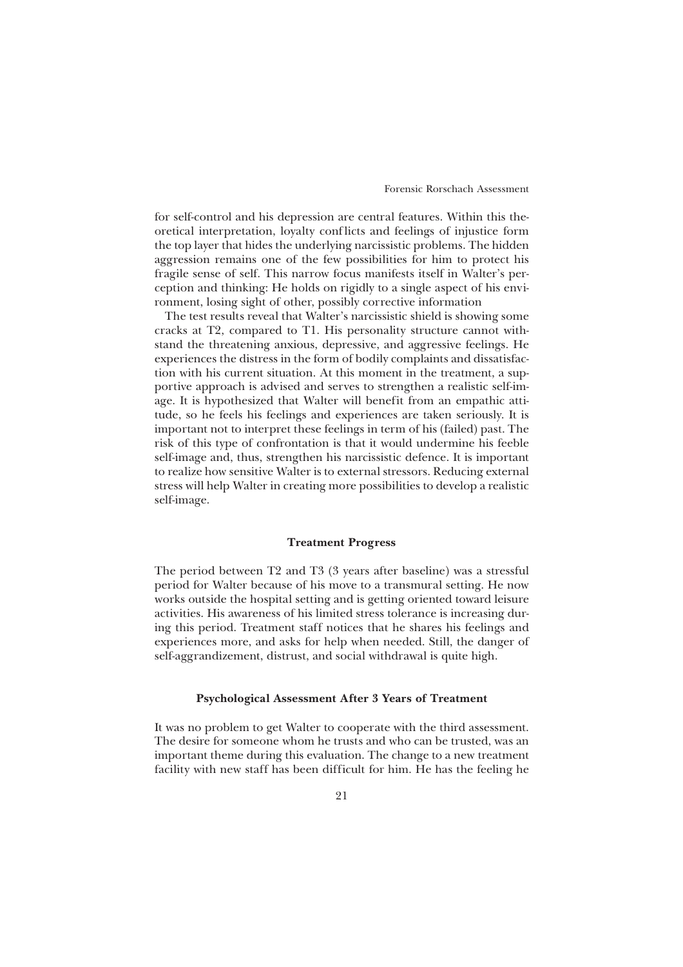for self-control and his depression are central features. Within this theoretical interpretation, loyalty conf licts and feelings of injustice form the top layer that hides the underlying narcissistic problems. The hidden aggression remains one of the few possibilities for him to protect his fragile sense of self. This narrow focus manifests itself in Walter's perception and thinking: He holds on rigidly to a single aspect of his environment, losing sight of other, possibly corrective information

The test results reveal that Walter's narcissistic shield is showing some cracks at T2, compared to T1. His personality structure cannot withstand the threatening anxious, depressive, and aggressive feelings. He experiences the distress in the form of bodily complaints and dissatisfaction with his current situation. At this moment in the treatment, a supportive approach is advised and serves to strengthen a realistic self-image. It is hypothesized that Walter will benefit from an empathic attitude, so he feels his feelings and experiences are taken seriously. It is important not to interpret these feelings in term of his (failed) past. The risk of this type of confrontation is that it would undermine his feeble self-image and, thus, strengthen his narcissistic defence. It is important to realize how sensitive Walter is to external stressors. Reducing external stress will help Walter in creating more possibilities to develop a realistic self-image.

## **Treatment Progress**

The period between T2 and T3 (3 years after baseline) was a stressful period for Walter because of his move to a transmural setting. He now works outside the hospital setting and is getting oriented toward leisure activities. His awareness of his limited stress tolerance is increasing during this period. Treatment staff notices that he shares his feelings and experiences more, and asks for help when needed. Still, the danger of self-aggrandizement, distrust, and social withdrawal is quite high.

## **Psychological Assessment After 3 Years of Treatment**

It was no problem to get Walter to cooperate with the third assessment. The desire for someone whom he trusts and who can be trusted, was an important theme during this evaluation. The change to a new treatment facility with new staff has been difficult for him. He has the feeling he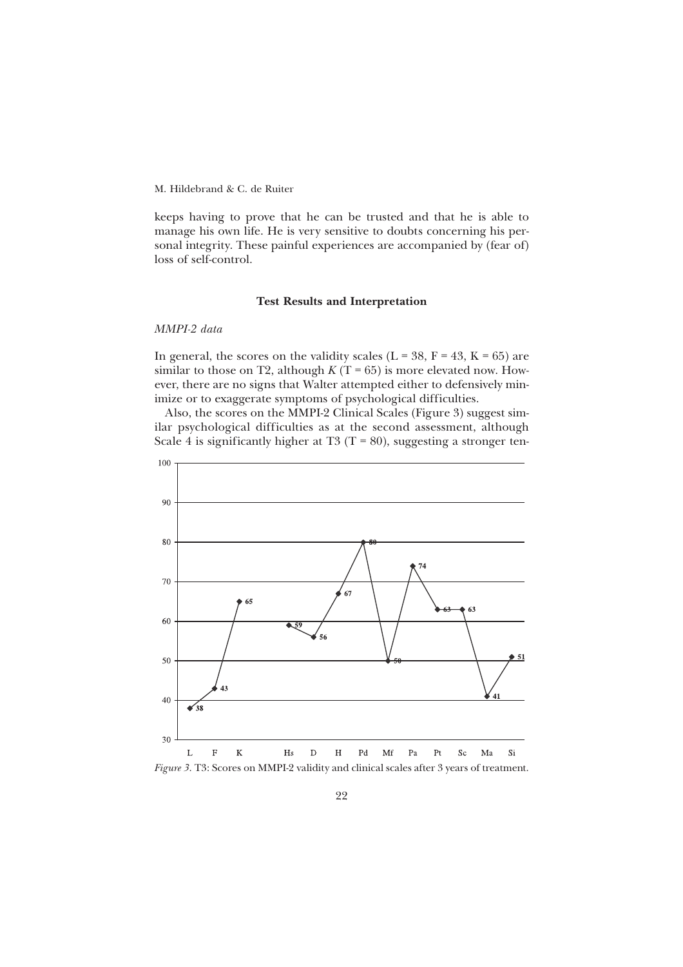keeps having to prove that he can be trusted and that he is able to manage his own life. He is very sensitive to doubts concerning his personal integrity. These painful experiences are accompanied by (fear of) loss of self-control.

## **Test Results and Interpretation**

#### *MMPI-2 data*

In general, the scores on the validity scales ( $L = 38$ ,  $F = 43$ ,  $K = 65$ ) are similar to those on T2, although  $K(T = 65)$  is more elevated now. However, there are no signs that Walter attempted either to defensively minimize or to exaggerate symptoms of psychological difficulties.

Also, the scores on the MMPI-2 Clinical Scales (Figure 3) suggest similar psychological difficulties as at the second assessment, although Scale 4 is significantly higher at T3 (T = 80), suggesting a stronger ten-



*Figure 3*. T3: Scores on MMPI-2 validity and clinical scales after 3 years of treatment.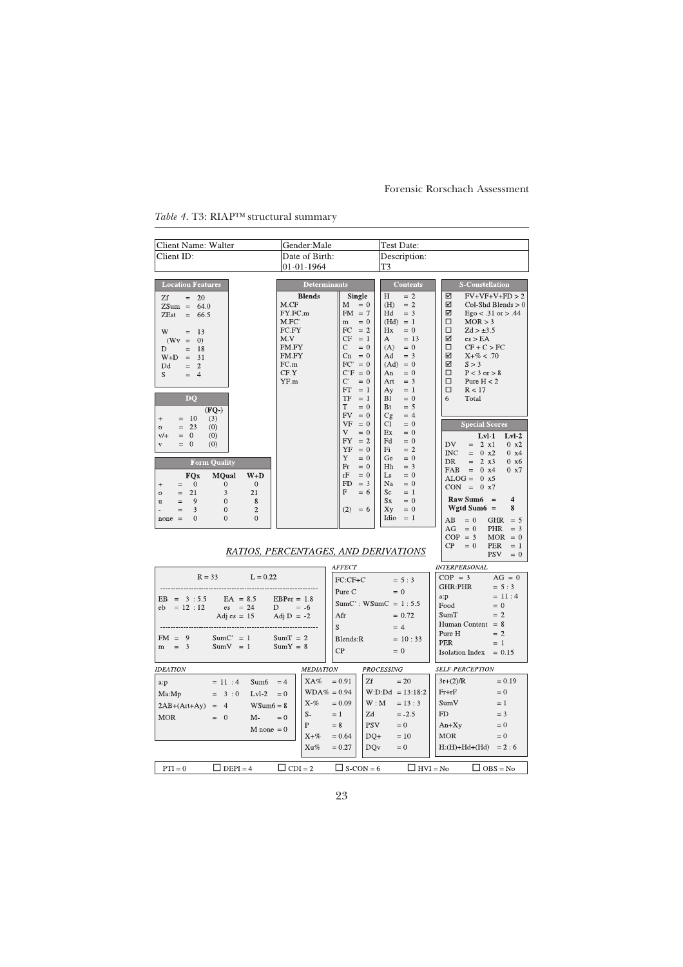| Client Name: Walter                                                                                                                                                                                                                                                                                                                                                                                                | Gender:Male                                                                                                                                                                                                                                                                                                                                        | Test Date:                                                                                                                                                                                                                                                                                |                                                                                                                                                                                                                                                                                                                                                                                                                      |
|--------------------------------------------------------------------------------------------------------------------------------------------------------------------------------------------------------------------------------------------------------------------------------------------------------------------------------------------------------------------------------------------------------------------|----------------------------------------------------------------------------------------------------------------------------------------------------------------------------------------------------------------------------------------------------------------------------------------------------------------------------------------------------|-------------------------------------------------------------------------------------------------------------------------------------------------------------------------------------------------------------------------------------------------------------------------------------------|----------------------------------------------------------------------------------------------------------------------------------------------------------------------------------------------------------------------------------------------------------------------------------------------------------------------------------------------------------------------------------------------------------------------|
| Client ID:                                                                                                                                                                                                                                                                                                                                                                                                         | Date of Birth:                                                                                                                                                                                                                                                                                                                                     | Description:                                                                                                                                                                                                                                                                              |                                                                                                                                                                                                                                                                                                                                                                                                                      |
|                                                                                                                                                                                                                                                                                                                                                                                                                    | 01-01-1964                                                                                                                                                                                                                                                                                                                                         | T3                                                                                                                                                                                                                                                                                        |                                                                                                                                                                                                                                                                                                                                                                                                                      |
| <b>Location Features</b><br>Zf<br>$= 20$<br>$ZSum = 64.0$<br>ZEst<br>$= 66.5$<br>W -<br>13<br>$\quad =$<br>$(Wv = 0)$<br>D.<br>$=$ 18<br>$W+D = 31$<br>$= 2$<br>Dd<br>S.<br>$= 4$<br>$\overline{D}$<br>$(FQ-)$<br>$= 10$<br>(3)<br>$+$<br>$= 23$<br>(0)<br>$\overline{O}$                                                                                                                                          | <b>Determinants</b><br><b>Blends</b><br><b>Single</b><br>M.CF<br>$M = 0$<br>FY.FC.m<br>$FM = 7$<br>M.FC<br>$m = 0$<br>$FC = 2$<br>FC.FY<br>$CF = 1$<br>M.V<br>FM.FY<br>$C = 0$<br>$Cn = 0$<br>FM.FY<br>$FC' = 0$<br>FC.m<br>$C'F = 0$<br>CF.Y<br>YF.m<br>$C' = 0$<br>FT<br>$= 1$<br>$TF = 1$<br>T.<br>$= 0$<br>$FV = 0$<br>$VF = 0$<br>V.<br>$= 0$ | <b>Contents</b><br>H<br>$= 2$<br>(H)<br>$= 2$<br>Hd<br>$=$ 3<br>$(Hd) = 1$<br>Hx<br>$= 0$<br>$= 13$<br>$\mathbf{A}$<br>$= 0$<br>(A)<br>$=$ 3<br>Ad<br>$(Ad) = 0$<br>$= 0$<br>An<br>$=$ 3<br>Art<br>$=$ 1<br>Ay<br>$= 0$<br>Bl<br>Bt<br>$= 5$<br>Cg<br>$= 4$<br>Cl<br>$= 0$<br>Ex<br>$= 0$ | <b>S-Constellation</b><br>☑<br>$FV+VF+V+FD > 2$<br>☑<br>$Col-Shd\,Blends > 0$<br>☑<br>$Ego < .31$ or $> .44$<br>$\Box$<br>MOR > 3<br>$\Box$<br>$Zd > \pm 3.5$<br>☑<br>es > EA<br>$\Box$<br>$CF + C > FC$<br>☑<br>$X + \% < .70$<br>☑<br>S > 3<br>$\Box$<br>$P < 3$ or $> 8$<br>$\Box$<br>Pure $H < 2$<br>$\Box$<br>R < 17<br>6<br>Total<br><b>Special Scores</b>                                                     |
| $= 0$<br>(0)<br>$V/+$<br>$= 0$<br>(0)<br>$\mathbf{V}$<br><b>Form Quality</b><br><b>FQx</b><br><b>MQual</b><br>$W+D$<br>$\overline{0}$<br>$\Omega$<br>$\overline{0}$<br>$\begin{array}{c} + \end{array}$<br>$\quad =$<br>$\mathfrak{Z}$<br>21<br>21<br>$\circ$<br>$=$<br>$\mathbf{0}$<br>$=$<br>9<br>8<br>$\mathbf u$<br>3<br>$\overline{c}$<br>$\mathbf{0}$<br>$=$<br>$\Omega$<br>$\theta$<br>$\Omega$<br>$none =$ | FY.<br>$= 2$<br>$YF = 0$<br>Y<br>$= 0$<br>Fr<br>$= 0$<br>rF<br>$= 0$<br>$FD = 3$<br>F<br>$= 6$<br>$(2) = 6$<br>RATIOS, PERCENTAGES, AND DERIVATIONS                                                                                                                                                                                                | Fd<br>$= 0$<br>Fi<br>$= 2$<br>$= 0$<br>Ge<br>Hh<br>$=$ 3<br>Ls<br>$= 0$<br>Na<br>$= 0$<br>Sc<br>$= 1$<br>$S_{X}$<br>$= 0$<br>Xy<br>$= 0$<br>Idio<br>$= 1$                                                                                                                                 | $Lvl-1$<br>$Lvl-2$<br>DV.<br>$= 2 \times 1$<br>$0 \times 2$<br>INC<br>$= 0 x2$<br>$0 \times 4$<br>2 x3<br>DR<br>$=$<br>$0 \times 6$<br><b>FAB</b><br>$= 0 x4$<br>0 x7<br>$ALOG = 0 x5$<br>$CON = 0 x7$<br>$\text{Raw Sum6}$ =<br>$\overline{\mathbf{4}}$<br>Wgtd Sum $6 =$<br>8<br>$= 0$<br>AB<br>GHR $= 5$<br>$AG = 0$<br>PHR<br>$=$ 3<br>$COP = 3$<br>$MOR = 0$<br>$CP = 0$<br>PER<br>$= 1$<br><b>PSV</b><br>$= 0$ |
|                                                                                                                                                                                                                                                                                                                                                                                                                    | <b>AFFECT</b>                                                                                                                                                                                                                                                                                                                                      |                                                                                                                                                                                                                                                                                           | <b>INTERPERSONAL</b>                                                                                                                                                                                                                                                                                                                                                                                                 |
| $R = 33$ $L = 0.22$<br>EB = $3:5.5$ EA = 8.5 EBPer = 1.8<br>eb = 12:12 es = 24 D = -6<br>Adj es = 15 Adj D = -2<br>$FM = 9$<br>$SumC' = 1$<br>$m = 3$<br>$SumV = 1$                                                                                                                                                                                                                                                | FC:CF+C<br>Pure C<br>$EBPer = 1.8$<br>Afr<br>S<br>$SumT = 2$<br>Blends:R<br>$SumY = 8$                                                                                                                                                                                                                                                             | $= 5:3$<br>$= 0$<br>$SumC$ : WSum $C = 1:5.5$<br>$= 0.72$<br>$= 4$<br>$= 10:33$                                                                                                                                                                                                           | $COP = 3$<br>$AG = 0$<br>GHR:PHR<br>$= 5:3$<br>$= 11:4$<br>a:p<br>$= 0$<br>Food<br>$= 2$<br>SumT<br>Human Content $= 8$<br>Pure H<br>$= 2$<br><b>PER</b><br>$= 1$                                                                                                                                                                                                                                                    |
|                                                                                                                                                                                                                                                                                                                                                                                                                    | CP                                                                                                                                                                                                                                                                                                                                                 | $= 0$                                                                                                                                                                                                                                                                                     | Isolation Index $= 0.15$                                                                                                                                                                                                                                                                                                                                                                                             |
| <b>IDEATION</b>                                                                                                                                                                                                                                                                                                                                                                                                    | <i>MEDIATION</i>                                                                                                                                                                                                                                                                                                                                   | <b>PROCESSING</b>                                                                                                                                                                                                                                                                         | <b>SELF-PERCEPTION</b>                                                                                                                                                                                                                                                                                                                                                                                               |
| $= 11 : 4$<br>Sum6<br>a:p<br>$= 3:0$<br>$Lvl-2$<br>Ma:Mp<br>$WSum6 = 8$<br>$2AB+(Art+Ay) = 4$<br><b>MOR</b><br>$= 0$<br>M-<br>$M$ none = 0                                                                                                                                                                                                                                                                         | $XA\% = 0.91$<br>Zf<br>$=4$<br>$WDA\% = 0.94$<br>$= 0$<br>$X - \%$<br>$= 0.09$<br>$S-$<br>$=1$<br>Zd<br>$= 0$<br>P<br><b>PSV</b><br>$= 8$<br>$X + \%$<br>$DQ+$<br>$= 0.64$                                                                                                                                                                         | $= 20$<br>$W:D:Dd = 13:18:2$<br>W : M<br>$= 13 : 3$<br>$=-2.5$<br>$= 0$<br>$=10$                                                                                                                                                                                                          | $3r+(2)/R$<br>$= 0.19$<br>$Fr + rF$<br>$= 0$<br>SumV<br>$=1$<br>FD.<br>$=$ 3<br>$An+Xy$<br>$= 0$<br><b>MOR</b><br>$= 0$                                                                                                                                                                                                                                                                                              |
|                                                                                                                                                                                                                                                                                                                                                                                                                    | Xu%<br>$= 0.27$<br>DQ <sub>V</sub>                                                                                                                                                                                                                                                                                                                 | $= 0$                                                                                                                                                                                                                                                                                     | $H:(H)+Hd+(Hd) = 2:6$                                                                                                                                                                                                                                                                                                                                                                                                |
| $\Box$ DEPI = 4<br>$PTI = 0$                                                                                                                                                                                                                                                                                                                                                                                       | $\Box$ CDI = 2<br>$\Box$ S-CON = 6                                                                                                                                                                                                                                                                                                                 | $\Box$ HVI = No                                                                                                                                                                                                                                                                           | $\Box$ OBS = No                                                                                                                                                                                                                                                                                                                                                                                                      |

# *Table 4*. T3: RIAP™ structural summary

23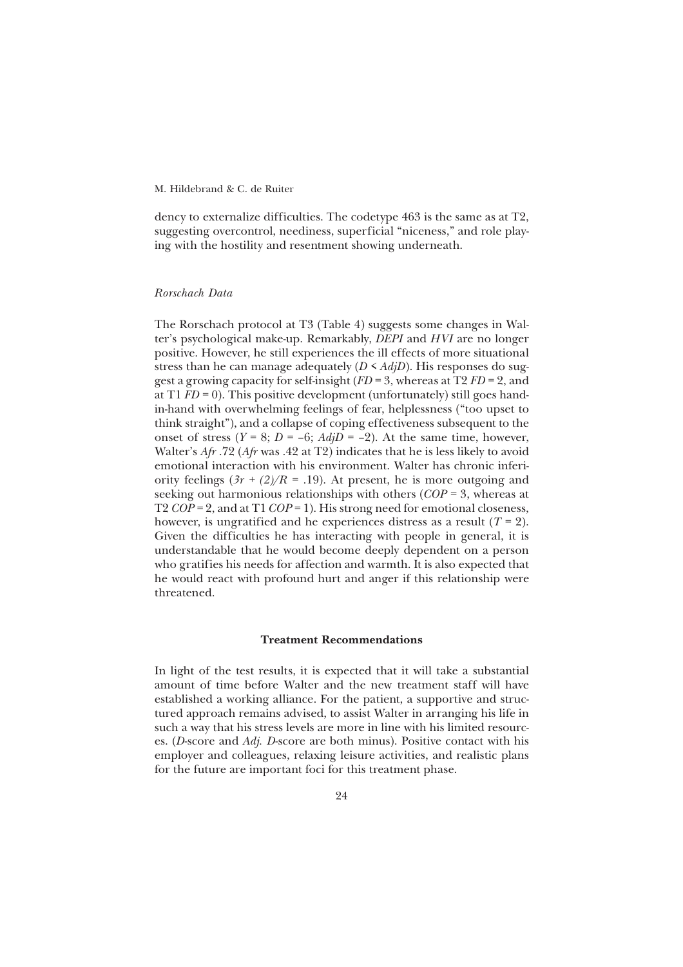dency to externalize difficulties. The codetype 463 is the same as at T2, suggesting overcontrol, neediness, superficial "niceness," and role playing with the hostility and resentment showing underneath.

## *Rorschach Data*

The Rorschach protocol at T3 (Table 4) suggests some changes in Walter's psychological make-up. Remarkably, *DEPI* and *HVI* are no longer positive. However, he still experiences the ill effects of more situational stress than he can manage adequately  $(D \leq AdjD)$ . His responses do suggest a growing capacity for self-insight (*FD* = 3, whereas at T2 *FD* = 2, and at T1  $FD = 0$ ). This positive development (unfortunately) still goes handin-hand with overwhelming feelings of fear, helplessness ("too upset to think straight"), and a collapse of coping effectiveness subsequent to the onset of stress  $(Y = 8; D = -6; AdjD = -2)$ . At the same time, however, Walter's *Afr* .72 (*Afr* was .42 at T2) indicates that he is less likely to avoid emotional interaction with his environment. Walter has chronic inferiority feelings  $(3r + (2)/R = .19)$ . At present, he is more outgoing and seeking out harmonious relationships with others (*COP* = 3, whereas at T2 *COP* = 2, and at T1 *COP* = 1). His strong need for emotional closeness, however, is ungratified and he experiences distress as a result  $(T = 2)$ . Given the difficulties he has interacting with people in general, it is understandable that he would become deeply dependent on a person who gratifies his needs for affection and warmth. It is also expected that he would react with profound hurt and anger if this relationship were threatened.

## **Treatment Recommendations**

In light of the test results, it is expected that it will take a substantial amount of time before Walter and the new treatment staff will have established a working alliance. For the patient, a supportive and structured approach remains advised, to assist Walter in arranging his life in such a way that his stress levels are more in line with his limited resources. (*D*-score and *Adj. D*-score are both minus). Positive contact with his employer and colleagues, relaxing leisure activities, and realistic plans for the future are important foci for this treatment phase.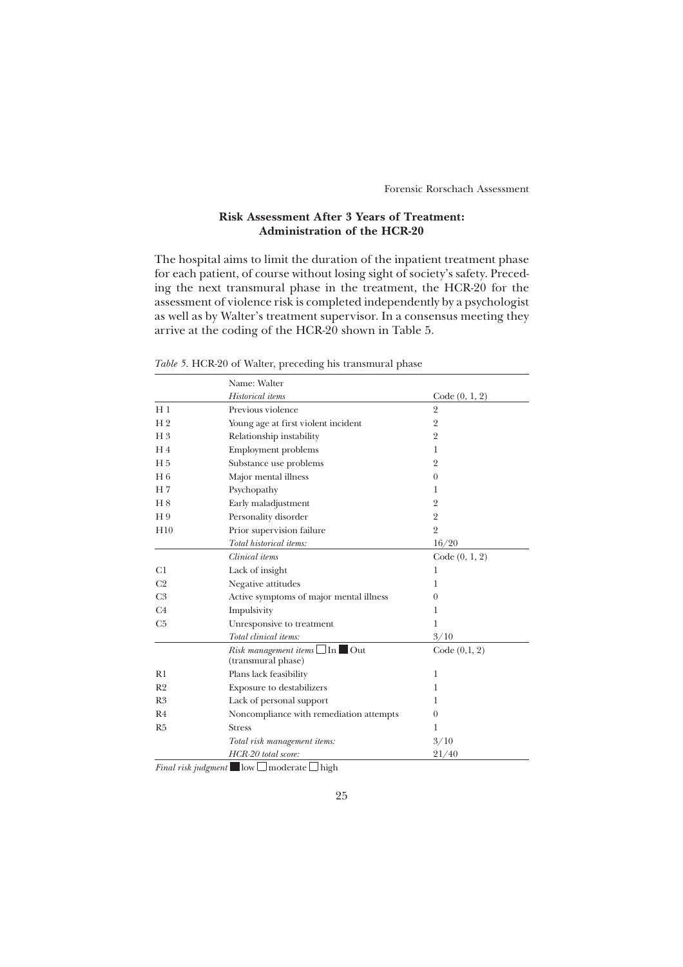# **Risk Assessment After 3 Years of Treatment: Administration of the HCR-20**

The hospital aims to limit the duration of the inpatient treatment phase for each patient, of course without losing sight of society's safety. Preceding the next transmural phase in the treatment, the HCR-20 for the assessment of violence risk is completed independently by a psychologist as well as by Walter's treatment supervisor. In a consensus meeting they arrive at the coding of the HCR-20 shown in Table 5.

|                | Name: Walter                                                            |                  |
|----------------|-------------------------------------------------------------------------|------------------|
|                | Historical items                                                        | Code (0, 1, 2)   |
| $H_1$          | Previous violence                                                       | $\overline{2}$   |
| H <sub>2</sub> | Young age at first violent incident                                     | $\overline{2}$   |
| H <sub>3</sub> | Relationship instability                                                | $\overline{2}$   |
| H <sub>4</sub> | <b>Employment problems</b>                                              | 1                |
| H <sub>5</sub> | Substance use problems                                                  | $\overline{2}$   |
| $H_6$          | Major mental illness                                                    | $\theta$         |
| H <sub>7</sub> | Psychopathy                                                             | 1                |
| H 8            | Early maladjustment                                                     | $\overline{2}$   |
| H <sub>9</sub> | Personality disorder                                                    | $\overline{2}$   |
| H10            | Prior supervision failure                                               | $\overline{2}$   |
|                | Total historical items:                                                 | 16/20            |
|                | Clinical items                                                          | Code $(0, 1, 2)$ |
| C1             | Lack of insight                                                         | 1                |
| C <sub>2</sub> | Negative attitudes                                                      | 1                |
| C <sub>3</sub> | Active symptoms of major mental illness                                 | $\Omega$         |
| C4             | Impulsivity                                                             | 1                |
| C <sub>5</sub> | Unresponsive to treatment                                               | 1                |
|                | Total clinical items:                                                   | 3/10             |
|                | <i>Risk management items</i> $\Box$ In $\Box$ Out<br>(transmural phase) | Code $(0,1, 2)$  |
| R1             | Plans lack feasibility                                                  | 1                |
| R <sub>2</sub> | Exposure to destabilizers                                               | 1                |
| R <sub>3</sub> | Lack of personal support                                                | 1                |
| R <sub>4</sub> | Noncompliance with remediation attempts                                 | $\theta$         |
| R <sub>5</sub> | <b>Stress</b>                                                           | 1                |
|                | Total risk management items:                                            | 3/10             |
|                | HCR-20 total score:                                                     | 21/40            |

*Table 5*. HCR-20 of Walter, preceding his transmural phase

*Final risk judgment* low  $\Box$  moderate  $\Box$  high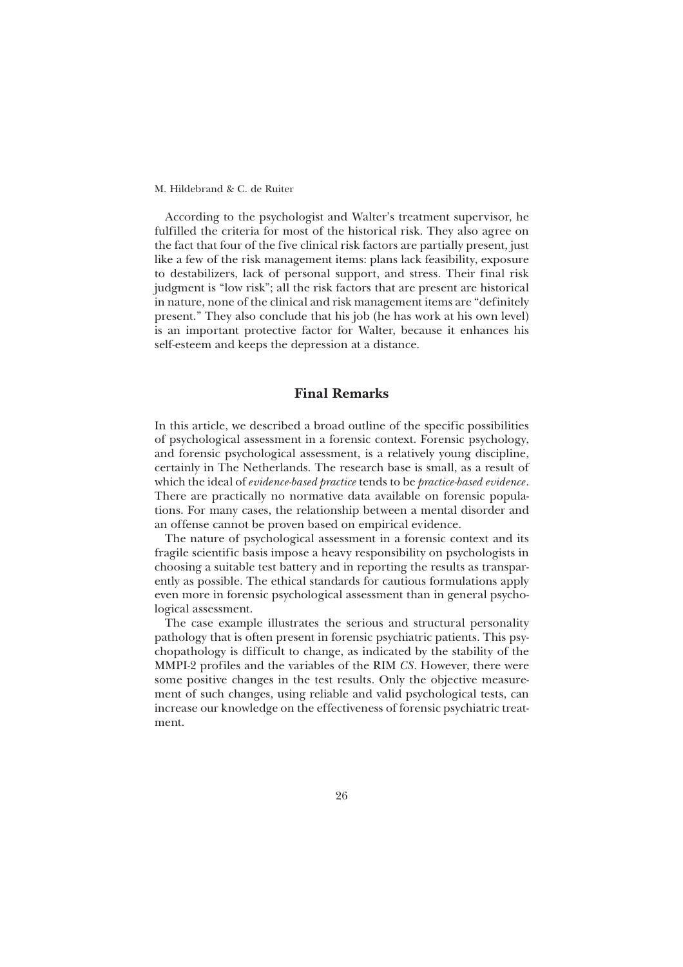According to the psychologist and Walter's treatment supervisor, he fulfilled the criteria for most of the historical risk. They also agree on the fact that four of the five clinical risk factors are partially present, just like a few of the risk management items: plans lack feasibility, exposure to destabilizers, lack of personal support, and stress. Their final risk judgment is "low risk"; all the risk factors that are present are historical in nature, none of the clinical and risk management items are "definitely present." They also conclude that his job (he has work at his own level) is an important protective factor for Walter, because it enhances his self-esteem and keeps the depression at a distance.

# **Final Remarks**

In this article, we described a broad outline of the specific possibilities of psychological assessment in a forensic context. Forensic psychology, and forensic psychological assessment, is a relatively young discipline, certainly in The Netherlands. The research base is small, as a result of which the ideal of *evidence-based practice* tends to be *practice-based evidence*. There are practically no normative data available on forensic populations. For many cases, the relationship between a mental disorder and an offense cannot be proven based on empirical evidence.

The nature of psychological assessment in a forensic context and its fragile scientific basis impose a heavy responsibility on psychologists in choosing a suitable test battery and in reporting the results as transparently as possible. The ethical standards for cautious formulations apply even more in forensic psychological assessment than in general psychological assessment.

The case example illustrates the serious and structural personality pathology that is often present in forensic psychiatric patients. This psychopathology is difficult to change, as indicated by the stability of the MMPI-2 profiles and the variables of the RIM *CS*. However, there were some positive changes in the test results. Only the objective measurement of such changes, using reliable and valid psychological tests, can increase our knowledge on the effectiveness of forensic psychiatric treatment.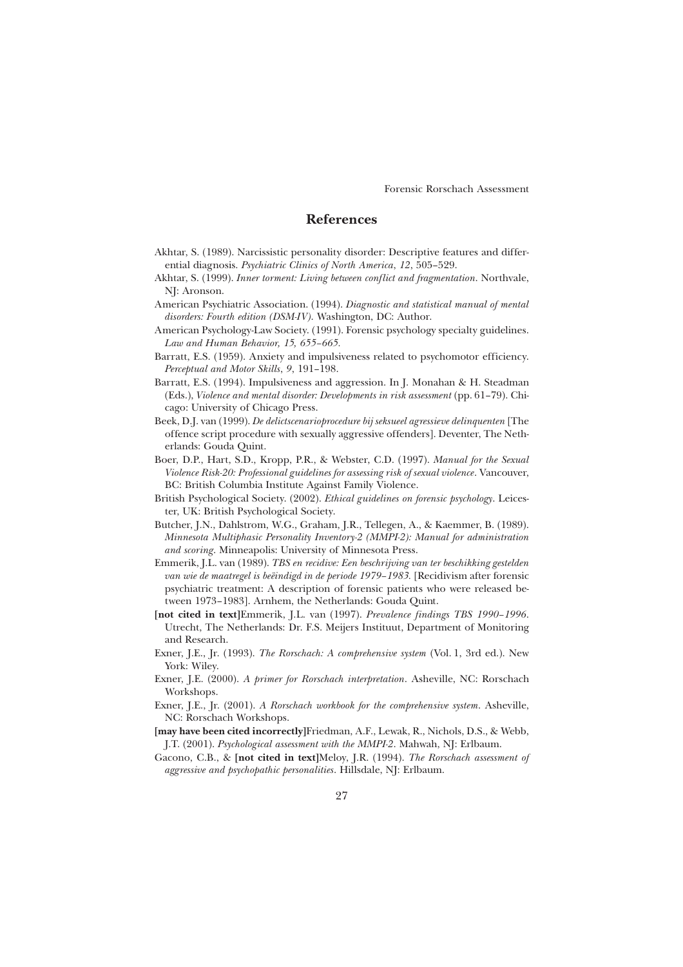# **References**

- Akhtar, S. (1989). Narcissistic personality disorder: Descriptive features and differential diagnosis. *Psychiatric Clinics of North America*, *12*, 505–529.
- Akhtar, S. (1999). *Inner torment: Living between conflict and fragmentation*. Northvale, NJ: Aronson.
- American Psychiatric Association. (1994). *Diagnostic and statistical manual of mental disorders: Fourth edition (DSM-IV)*. Washington, DC: Author.
- American Psychology-Law Society. (1991). Forensic psychology specialty guidelines. *Law and Human Behavior, 15, 655–665.*
- Barratt, E.S. (1959). Anxiety and impulsiveness related to psychomotor efficiency. *Perceptual and Motor Skills*, *9*, 191–198.
- Barratt, E.S. (1994). Impulsiveness and aggression. In J. Monahan & H. Steadman (Eds.), *Violence and mental disorder: Developments in risk assessment* (pp. 61–79). Chicago: University of Chicago Press.
- Beek, D.J. van (1999). *De delictscenarioprocedure bij seksueel agressieve delinquenten* [The offence script procedure with sexually aggressive offenders]. Deventer, The Netherlands: Gouda Quint.
- Boer, D.P., Hart, S.D., Kropp, P.R., & Webster, C.D. (1997). *Manual for the Sexual Violence Risk-20: Professional guidelines for assessing risk of sexual violence*. Vancouver, BC: British Columbia Institute Against Family Violence.
- British Psychological Society. (2002). *Ethical guidelines on forensic psychology*. Leicester, UK: British Psychological Society.
- Butcher, J.N., Dahlstrom, W.G., Graham, J.R., Tellegen, A., & Kaemmer, B. (1989). *Minnesota Multiphasic Personality Inventory-2 (MMPI-2): Manual for administration and scoring*. Minneapolis: University of Minnesota Press.
- Emmerik, J.L. van (1989). *TBS en recidive: Een beschrijving van ter beschikking gestelden van wie de maatregel is beëindigd in de periode 1979–1983.* [Recidivism after forensic psychiatric treatment: A description of forensic patients who were released between 1973–1983]. Arnhem, the Netherlands: Gouda Quint.
- **[not cited in text]**Emmerik, J.L. van (1997). *Prevalence findings TBS 1990–1996*. Utrecht, The Netherlands: Dr. F.S. Meijers Instituut, Department of Monitoring and Research.
- Exner, J.E., Jr. (1993). *The Rorschach: A comprehensive system* (Vol. 1, 3rd ed.). New York: Wiley.
- Exner, J.E. (2000). *A primer for Rorschach interpretation*. Asheville, NC: Rorschach Workshops.
- Exner, J.E., Jr. (2001). *A Rorschach workbook for the comprehensive system*. Asheville, NC: Rorschach Workshops.

**[may have been cited incorrectly]**Friedman, A.F., Lewak, R., Nichols, D.S., & Webb, J.T. (2001). *Psychological assessment with the MMPI-2*. Mahwah, NJ: Erlbaum.

Gacono, C.B., & **[not cited in text]**Meloy, J.R. (1994). *The Rorschach assessment of aggressive and psychopathic personalities*. Hillsdale, NJ: Erlbaum.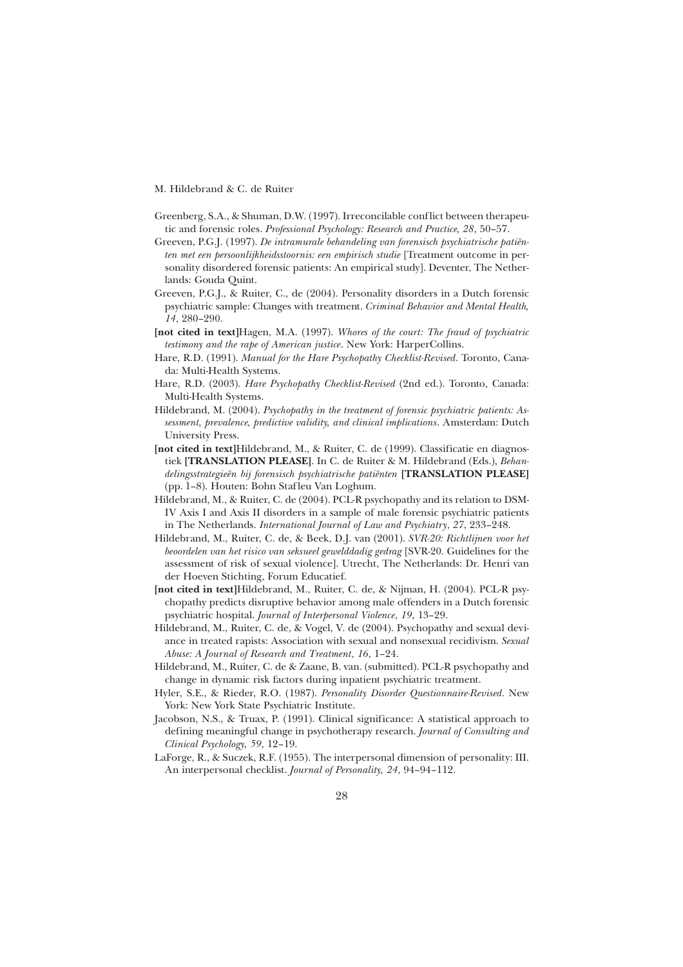- Greenberg, S.A., & Shuman, D.W. (1997). Irreconcilable conflict between therapeutic and forensic roles. *Professional Psychology: Research and Practice, 28*, 50–57.
- Greeven, P.G.J. (1997). *De intramurale behandeling van forensisch psychiatrische patiënten met een persoonlijkheidsstoornis: een empirisch studie* [Treatment outcome in personality disordered forensic patients: An empirical study]. Deventer, The Netherlands: Gouda Quint.
- Greeven, P.G.J., & Ruiter, C., de (2004). Personality disorders in a Dutch forensic psychiatric sample: Changes with treatment. *Criminal Behavior and Mental Health, 14*, 280–290.
- **[not cited in text]**Hagen, M.A. (1997). *Whores of the court: The fraud of psychiatric testimony and the rape of American justice*. New York: HarperCollins.
- Hare, R.D. (1991). *Manual for the Hare Psychopathy Checklist-Revised*. Toronto, Canada: Multi-Health Systems.
- Hare, R.D. (2003). *Hare Psychopathy Checklist-Revised* (2nd ed.). Toronto, Canada: Multi-Health Systems.
- Hildebrand, M. (2004). *Psychopathy in the treatment of forensic psychiatric patients: Assessment, prevalence, predictive validity, and clinical implications*. Amsterdam: Dutch University Press.
- **[not cited in text]**Hildebrand, M., & Ruiter, C. de (1999). Classificatie en diagnostiek **[TRANSLATION PLEASE]**. In C. de Ruiter & M. Hildebrand (Eds.), *Behandelingsstrategieën bij forensisch psychiatrische patiënten* **[TRANSLATION PLEASE]** (pp. 1–8). Houten: Bohn Stafleu Van Loghum.
- Hildebrand, M., & Ruiter, C. de (2004). PCL-R psychopathy and its relation to DSM-IV Axis I and Axis II disorders in a sample of male forensic psychiatric patients in The Netherlands. *International Journal of Law and Psychiatry*, *27*, 233–248.
- Hildebrand, M., Ruiter, C. de, & Beek, D.J. van (2001). *SVR-20: Richtlijnen voor het beoordelen van het risico van seksueel gewelddadig gedrag* [SVR-20. Guidelines for the assessment of risk of sexual violence]. Utrecht, The Netherlands: Dr. Henri van der Hoeven Stichting, Forum Educatief.
- **[not cited in text]**Hildebrand, M., Ruiter, C. de, & Nijman, H. (2004). PCL-R psychopathy predicts disruptive behavior among male offenders in a Dutch forensic psychiatric hospital. *Journal of Interpersonal Violence*, *19*, 13–29.
- Hildebrand, M., Ruiter, C. de, & Vogel, V. de (2004). Psychopathy and sexual deviance in treated rapists: Association with sexual and nonsexual recidivism. *Sexual Abuse: A Journal of Research and Treatment*, *16*, 1–24.
- Hildebrand, M., Ruiter, C. de & Zaane, B. van. (submitted). PCL-R psychopathy and change in dynamic risk factors during inpatient psychiatric treatment.
- Hyler, S.E., & Rieder, R.O. (1987). *Personality Disorder Questionnaire-Revised*. New York: New York State Psychiatric Institute.
- Jacobson, N.S., & Truax, P. (1991). Clinical significance: A statistical approach to defining meaningful change in psychotherapy research. *Journal of Consulting and Clinical Psychology, 59*, 12–19.
- LaForge, R., & Suczek, R.F. (1955). The interpersonal dimension of personality: III. An interpersonal checklist. *Journal of Personality, 24*, 94–94–112.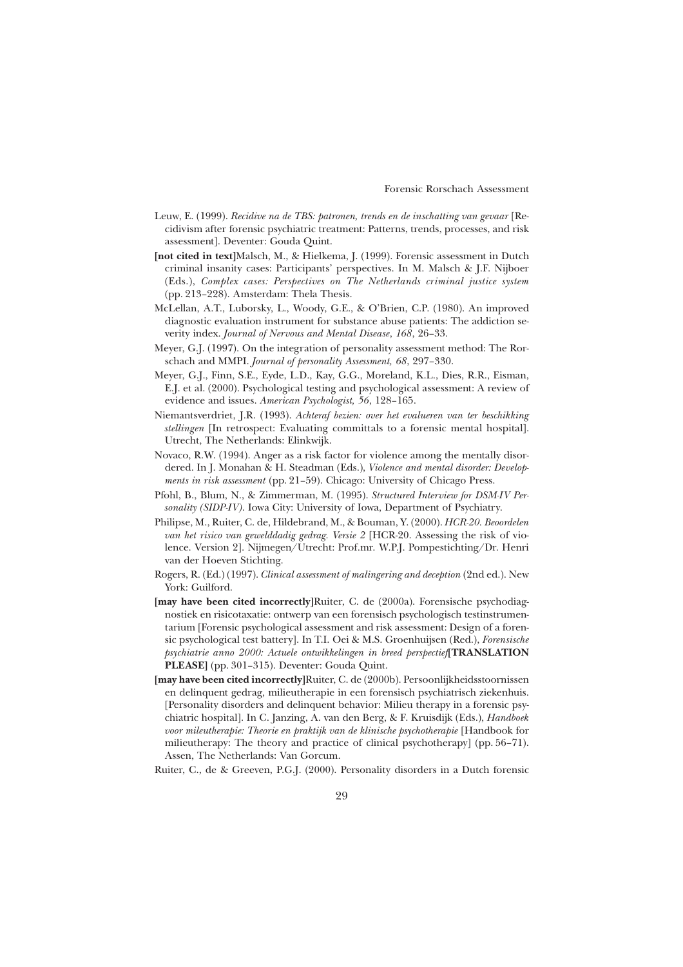- Leuw, E. (1999). *Recidive na de TBS: patronen, trends en de inschatting van gevaar* [Recidivism after forensic psychiatric treatment: Patterns, trends, processes, and risk assessment]. Deventer: Gouda Quint.
- **[not cited in text]**Malsch, M., & Hielkema, J. (1999). Forensic assessment in Dutch criminal insanity cases: Participants' perspectives. In M. Malsch & J.F. Nijboer (Eds.), *Complex cases: Perspectives on The Netherlands criminal justice system* (pp. 213–228). Amsterdam: Thela Thesis.
- McLellan, A.T., Luborsky, L., Woody, G.E., & O'Brien, C.P. (1980). An improved diagnostic evaluation instrument for substance abuse patients: The addiction severity index. *Journal of Nervous and Mental Disease*, *168*, 26–33.
- Meyer, G.J. (1997). On the integration of personality assessment method: The Rorschach and MMPI. *Journal of personality Assessment, 68*, 297–330.
- Meyer, G.J., Finn, S.E., Eyde, L.D., Kay, G.G., Moreland, K.L., Dies, R.R., Eisman, E.J. et al. (2000). Psychological testing and psychological assessment: A review of evidence and issues. *American Psychologist, 56*, 128–165.
- Niemantsverdriet, J.R. (1993). *Achteraf bezien: over het evalueren van ter beschikking stellingen* [In retrospect: Evaluating committals to a forensic mental hospital]. Utrecht, The Netherlands: Elinkwijk.
- Novaco, R.W. (1994). Anger as a risk factor for violence among the mentally disordered. In J. Monahan & H. Steadman (Eds.), *Violence and mental disorder: Developments in risk assessment* (pp. 21–59). Chicago: University of Chicago Press.
- Pfohl, B., Blum, N., & Zimmerman, M. (1995). *Structured Interview for DSM-IV Personality (SIDP-IV)*. Iowa City: University of Iowa, Department of Psychiatry.
- Philipse, M., Ruiter, C. de, Hildebrand, M., & Bouman, Y. (2000). *HCR-20. Beoordelen van het risico van gewelddadig gedrag. Versie 2* [HCR-20. Assessing the risk of violence. Version 2]. Nijmegen/Utrecht: Prof.mr. W.P.J. Pompestichting/Dr. Henri van der Hoeven Stichting.
- Rogers, R. (Ed.) (1997). *Clinical assessment of malingering and deception* (2nd ed.). New York: Guilford.
- **[may have been cited incorrectly]**Ruiter, C. de (2000a). Forensische psychodiagnostiek en risicotaxatie: ontwerp van een forensisch psychologisch testinstrumentarium [Forensic psychological assessment and risk assessment: Design of a forensic psychological test battery]. In T.I. Oei & M.S. Groenhuijsen (Red.), *Forensische psychiatrie anno 2000: Actuele ontwikkelingen in breed perspectief***[TRANSLATION PLEASE]** (pp. 301–315). Deventer: Gouda Quint.
- **[may have been cited incorrectly]**Ruiter, C. de (2000b). Persoonlijkheidsstoornissen en delinquent gedrag, milieutherapie in een forensisch psychiatrisch ziekenhuis. [Personality disorders and delinquent behavior: Milieu therapy in a forensic psychiatric hospital]. In C. Janzing, A. van den Berg, & F. Kruisdijk (Eds.), *Handboek voor mileutherapie: Theorie en praktijk van de klinische psychotherapie* [Handbook for milieutherapy: The theory and practice of clinical psychotherapy] (pp. 56–71). Assen, The Netherlands: Van Gorcum.
- Ruiter, C., de & Greeven, P.G.J. (2000). Personality disorders in a Dutch forensic